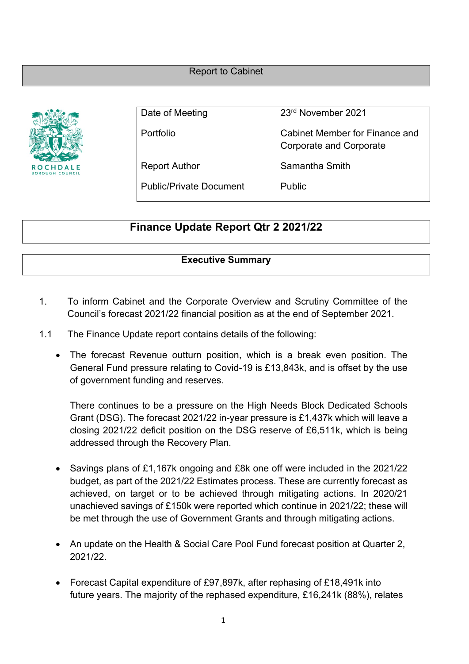Report to Cabinet



Date of Meeting 23<sup>rd</sup> November 2021

Portfolio Cabinet Member for Finance and Corporate and Corporate

Report Author Samantha Smith

Public/Private Document Public

# **Finance Update Report Qtr 2 2021/22**

# **Executive Summary**

- 1. To inform Cabinet and the Corporate Overview and Scrutiny Committee of the Council's forecast 2021/22 financial position as at the end of September 2021.
- 1.1 The Finance Update report contains details of the following:
	- The forecast Revenue outturn position, which is a break even position. The General Fund pressure relating to Covid-19 is £13,843k, and is offset by the use of government funding and reserves.

There continues to be a pressure on the High Needs Block Dedicated Schools Grant (DSG). The forecast 2021/22 in-year pressure is £1,437k which will leave a closing 2021/22 deficit position on the DSG reserve of £6,511k, which is being addressed through the Recovery Plan.

- Savings plans of £1,167k ongoing and £8k one off were included in the 2021/22 budget, as part of the 2021/22 Estimates process. These are currently forecast as achieved, on target or to be achieved through mitigating actions. In 2020/21 unachieved savings of £150k were reported which continue in 2021/22; these will be met through the use of Government Grants and through mitigating actions.
- An update on the Health & Social Care Pool Fund forecast position at Quarter 2, 2021/22.
- Forecast Capital expenditure of £97,897k, after rephasing of £18,491k into future years. The majority of the rephased expenditure, £16,241k (88%), relates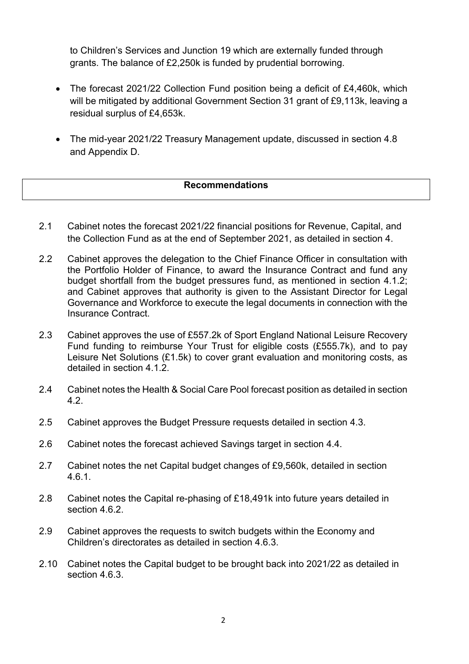to Children's Services and Junction 19 which are externally funded through grants. The balance of £2,250k is funded by prudential borrowing.

- The forecast 2021/22 Collection Fund position being a deficit of £4,460k, which will be mitigated by additional Government Section 31 grant of £9,113k, leaving a residual surplus of £4,653k.
- The mid-year 2021/22 Treasury Management update, discussed in section 4.8 and Appendix D.

#### **Recommendations**

- 2.1 Cabinet notes the forecast 2021/22 financial positions for Revenue, Capital, and the Collection Fund as at the end of September 2021, as detailed in section 4.
- 2.2 Cabinet approves the delegation to the Chief Finance Officer in consultation with the Portfolio Holder of Finance, to award the Insurance Contract and fund any budget shortfall from the budget pressures fund, as mentioned in section 4.1.2; and Cabinet approves that authority is given to the Assistant Director for Legal Governance and Workforce to execute the legal documents in connection with the Insurance Contract.
- 2.3 Cabinet approves the use of £557.2k of Sport England National Leisure Recovery Fund funding to reimburse Your Trust for eligible costs (£555.7k), and to pay Leisure Net Solutions (£1.5k) to cover grant evaluation and monitoring costs, as detailed in section 4.1.2
- 2.4 Cabinet notes the Health & Social Care Pool forecast position as detailed in section 4.2.
- 2.5 Cabinet approves the Budget Pressure requests detailed in section 4.3.
- 2.6 Cabinet notes the forecast achieved Savings target in section 4.4.
- 2.7 Cabinet notes the net Capital budget changes of £9,560k, detailed in section 4.6.1.
- 2.8 Cabinet notes the Capital re-phasing of £18,491k into future years detailed in section 4.6.2
- 2.9 Cabinet approves the requests to switch budgets within the Economy and Children's directorates as detailed in section 4.6.3.
- 2.10 Cabinet notes the Capital budget to be brought back into 2021/22 as detailed in section 4.6.3.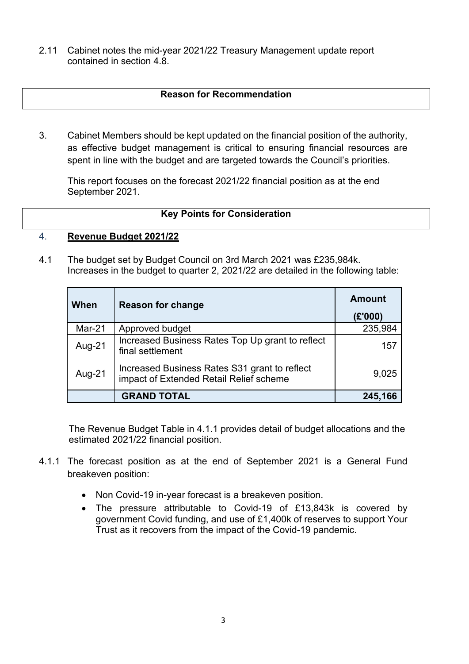2.11 Cabinet notes the mid-year 2021/22 Treasury Management update report contained in section 4.8.

#### **Reason for Recommendation**

3. Cabinet Members should be kept updated on the financial position of the authority, as effective budget management is critical to ensuring financial resources are spent in line with the budget and are targeted towards the Council's priorities.

This report focuses on the forecast 2021/22 financial position as at the end September 2021.

#### **Key Points for Consideration**

#### 4. **Revenue Budget 2021/22**

4.1 The budget set by Budget Council on 3rd March 2021 was £235,984k. Increases in the budget to quarter 2, 2021/22 are detailed in the following table:

| When   | <b>Reason for change</b>                                                                 | <b>Amount</b><br>(E'000) |
|--------|------------------------------------------------------------------------------------------|--------------------------|
| Mar-21 | Approved budget                                                                          | 235,984                  |
| Aug-21 | Increased Business Rates Top Up grant to reflect<br>final settlement                     | 157                      |
| Aug-21 | Increased Business Rates S31 grant to reflect<br>impact of Extended Retail Relief scheme | 9,025                    |
|        | <b>GRAND TOTAL</b>                                                                       | 245,166                  |

The Revenue Budget Table in 4.1.1 provides detail of budget allocations and the estimated 2021/22 financial position.

- 4.1.1 The forecast position as at the end of September 2021 is a General Fund breakeven position:
	- Non Covid-19 in-year forecast is a breakeven position.
	- The pressure attributable to Covid-19 of £13,843k is covered by government Covid funding, and use of £1,400k of reserves to support Your Trust as it recovers from the impact of the Covid-19 pandemic.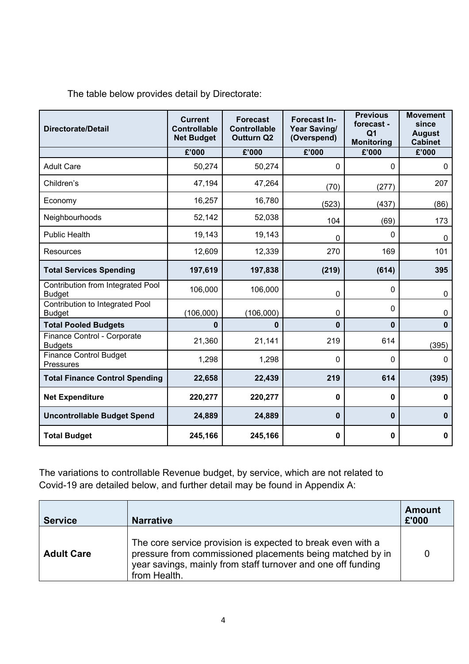The table below provides detail by Directorate:

| <b>Directorate/Detail</b>                          | <b>Current</b><br><b>Controllable</b><br><b>Net Budget</b> | <b>Forecast</b><br><b>Controllable</b><br><b>Outturn Q2</b> | <b>Forecast In-</b><br>Year Saving/<br>(Overspend) | <b>Previous</b><br>forecast -<br>Q1<br><b>Monitoring</b> | <b>Movement</b><br>since<br><b>August</b><br><b>Cabinet</b> |
|----------------------------------------------------|------------------------------------------------------------|-------------------------------------------------------------|----------------------------------------------------|----------------------------------------------------------|-------------------------------------------------------------|
|                                                    | £'000                                                      | £'000                                                       | £'000                                              | £'000                                                    | £'000                                                       |
| <b>Adult Care</b>                                  | 50,274                                                     | 50,274                                                      | 0                                                  | 0                                                        | $\mathbf 0$                                                 |
| Children's                                         | 47,194                                                     | 47,264                                                      | (70)                                               | (277)                                                    | 207                                                         |
| Economy                                            | 16,257                                                     | 16,780                                                      | (523)                                              | (437)                                                    | (86)                                                        |
| Neighbourhoods                                     | 52,142                                                     | 52,038                                                      | 104                                                | (69)                                                     | 173                                                         |
| <b>Public Health</b>                               | 19,143                                                     | 19,143                                                      | 0                                                  | $\mathbf{0}$                                             | 0                                                           |
| <b>Resources</b>                                   | 12,609                                                     | 12,339                                                      | 270                                                | 169                                                      | 101                                                         |
| <b>Total Services Spending</b>                     | 197,619                                                    | 197,838                                                     | (219)                                              | (614)                                                    | 395                                                         |
| Contribution from Integrated Pool<br><b>Budget</b> | 106,000                                                    | 106,000                                                     | 0                                                  | $\mathbf 0$                                              | 0                                                           |
| Contribution to Integrated Pool<br><b>Budget</b>   | (106,000)                                                  | (106,000)                                                   | 0                                                  | 0                                                        | 0                                                           |
| <b>Total Pooled Budgets</b>                        | 0                                                          | 0                                                           | $\bf{0}$                                           | $\bf{0}$                                                 | $\mathbf 0$                                                 |
| Finance Control - Corporate<br><b>Budgets</b>      | 21,360                                                     | 21,141                                                      | 219                                                | 614                                                      | (395)                                                       |
| <b>Finance Control Budget</b><br><b>Pressures</b>  | 1,298                                                      | 1,298                                                       | $\mathbf 0$                                        | $\mathbf 0$                                              | $\mathbf 0$                                                 |
| <b>Total Finance Control Spending</b>              | 22,658                                                     | 22,439                                                      | 219                                                | 614                                                      | (395)                                                       |
| <b>Net Expenditure</b>                             | 220,277                                                    | 220,277                                                     | 0                                                  | 0                                                        | 0                                                           |
| <b>Uncontrollable Budget Spend</b>                 | 24,889                                                     | 24,889                                                      | $\mathbf 0$                                        | $\mathbf 0$                                              | $\mathbf{0}$                                                |
| <b>Total Budget</b>                                | 245,166                                                    | 245,166                                                     | $\mathbf 0$                                        | $\mathbf 0$                                              | $\mathbf 0$                                                 |

The variations to controllable Revenue budget, by service, which are not related to Covid-19 are detailed below, and further detail may be found in Appendix A:

| <b>Service</b>    | <b>Narrative</b>                                                                                                                                                                                         | <b>Amount</b><br>£'000 |
|-------------------|----------------------------------------------------------------------------------------------------------------------------------------------------------------------------------------------------------|------------------------|
| <b>Adult Care</b> | The core service provision is expected to break even with a<br>pressure from commissioned placements being matched by in<br>year savings, mainly from staff turnover and one off funding<br>from Health. | 0                      |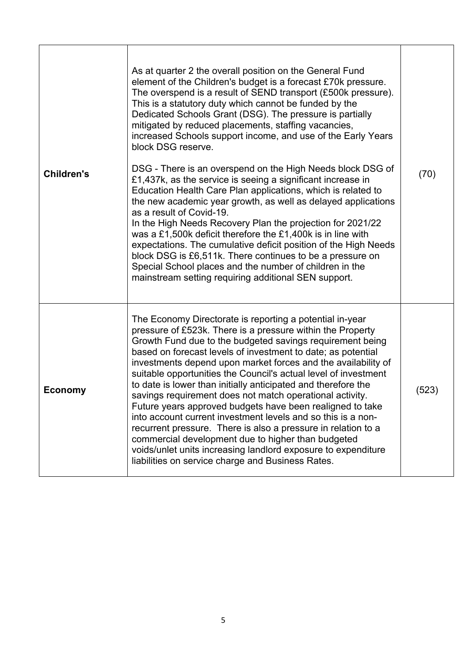| <b>Children's</b> | As at quarter 2 the overall position on the General Fund<br>element of the Children's budget is a forecast £70k pressure.<br>The overspend is a result of SEND transport (£500k pressure).<br>This is a statutory duty which cannot be funded by the<br>Dedicated Schools Grant (DSG). The pressure is partially<br>mitigated by reduced placements, staffing vacancies,<br>increased Schools support income, and use of the Early Years<br>block DSG reserve.<br>DSG - There is an overspend on the High Needs block DSG of<br>£1,437k, as the service is seeing a significant increase in<br>Education Health Care Plan applications, which is related to<br>the new academic year growth, as well as delayed applications<br>as a result of Covid-19.<br>In the High Needs Recovery Plan the projection for 2021/22<br>was a £1,500k deficit therefore the £1,400k is in line with<br>expectations. The cumulative deficit position of the High Needs<br>block DSG is £6,511k. There continues to be a pressure on<br>Special School places and the number of children in the<br>mainstream setting requiring additional SEN support. | (70)  |
|-------------------|------------------------------------------------------------------------------------------------------------------------------------------------------------------------------------------------------------------------------------------------------------------------------------------------------------------------------------------------------------------------------------------------------------------------------------------------------------------------------------------------------------------------------------------------------------------------------------------------------------------------------------------------------------------------------------------------------------------------------------------------------------------------------------------------------------------------------------------------------------------------------------------------------------------------------------------------------------------------------------------------------------------------------------------------------------------------------------------------------------------------------------------|-------|
| <b>Economy</b>    | The Economy Directorate is reporting a potential in-year<br>pressure of £523k. There is a pressure within the Property<br>Growth Fund due to the budgeted savings requirement being<br>based on forecast levels of investment to date; as potential<br>investments depend upon market forces and the availability of<br>suitable opportunities the Council's actual level of investment<br>to date is lower than initially anticipated and therefore the<br>savings requirement does not match operational activity.<br>Future years approved budgets have been realigned to take<br>into account current investment levels and so this is a non-<br>recurrent pressure. There is also a pressure in relation to a<br>commercial development due to higher than budgeted<br>voids/unlet units increasing landlord exposure to expenditure<br>liabilities on service charge and Business Rates.                                                                                                                                                                                                                                           | (523) |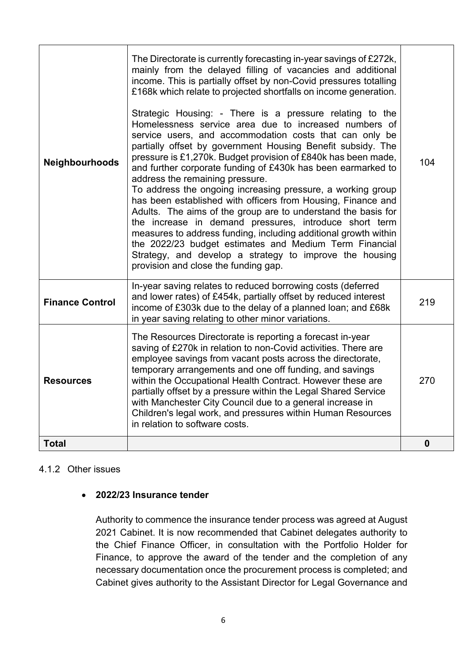| Neighbourhoods         | The Directorate is currently forecasting in-year savings of £272k,<br>mainly from the delayed filling of vacancies and additional<br>income. This is partially offset by non-Covid pressures totalling<br>£168k which relate to projected shortfalls on income generation.<br>Strategic Housing: - There is a pressure relating to the<br>Homelessness service area due to increased numbers of<br>service users, and accommodation costs that can only be<br>partially offset by government Housing Benefit subsidy. The<br>pressure is £1,270k. Budget provision of £840k has been made,<br>and further corporate funding of £430k has been earmarked to<br>address the remaining pressure.<br>To address the ongoing increasing pressure, a working group<br>has been established with officers from Housing, Finance and<br>Adults. The aims of the group are to understand the basis for<br>the increase in demand pressures, introduce short term<br>measures to address funding, including additional growth within<br>the 2022/23 budget estimates and Medium Term Financial<br>Strategy, and develop a strategy to improve the housing<br>provision and close the funding gap. | 104         |
|------------------------|-----------------------------------------------------------------------------------------------------------------------------------------------------------------------------------------------------------------------------------------------------------------------------------------------------------------------------------------------------------------------------------------------------------------------------------------------------------------------------------------------------------------------------------------------------------------------------------------------------------------------------------------------------------------------------------------------------------------------------------------------------------------------------------------------------------------------------------------------------------------------------------------------------------------------------------------------------------------------------------------------------------------------------------------------------------------------------------------------------------------------------------------------------------------------------------------|-------------|
| <b>Finance Control</b> | In-year saving relates to reduced borrowing costs (deferred<br>and lower rates) of £454k, partially offset by reduced interest<br>income of £303k due to the delay of a planned loan; and £68k<br>in year saving relating to other minor variations.                                                                                                                                                                                                                                                                                                                                                                                                                                                                                                                                                                                                                                                                                                                                                                                                                                                                                                                                    | 219         |
| <b>Resources</b>       | The Resources Directorate is reporting a forecast in-year<br>saving of £270k in relation to non-Covid activities. There are<br>employee savings from vacant posts across the directorate,<br>temporary arrangements and one off funding, and savings<br>within the Occupational Health Contract. However these are<br>partially offset by a pressure within the Legal Shared Service<br>with Manchester City Council due to a general increase in<br>Children's legal work, and pressures within Human Resources<br>in relation to software costs.                                                                                                                                                                                                                                                                                                                                                                                                                                                                                                                                                                                                                                      | 270         |
| <b>Total</b>           |                                                                                                                                                                                                                                                                                                                                                                                                                                                                                                                                                                                                                                                                                                                                                                                                                                                                                                                                                                                                                                                                                                                                                                                         | $\mathbf 0$ |

#### 4.1.2 Other issues

### **2022/23 Insurance tender**

Authority to commence the insurance tender process was agreed at August 2021 Cabinet. It is now recommended that Cabinet delegates authority to the Chief Finance Officer, in consultation with the Portfolio Holder for Finance, to approve the award of the tender and the completion of any necessary documentation once the procurement process is completed; and Cabinet gives authority to the Assistant Director for Legal Governance and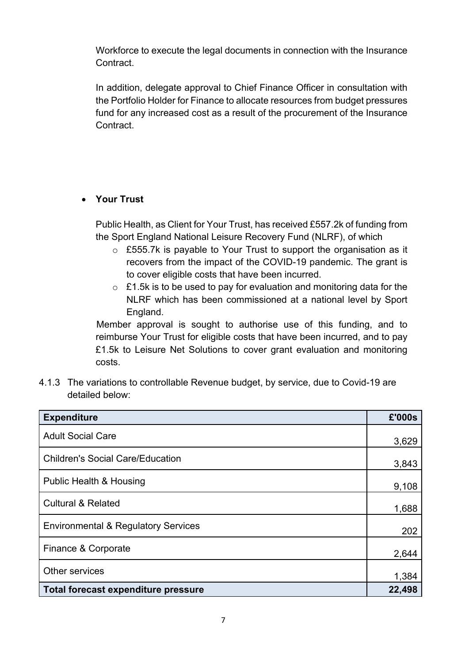Workforce to execute the legal documents in connection with the Insurance Contract.

In addition, delegate approval to Chief Finance Officer in consultation with the Portfolio Holder for Finance to allocate resources from budget pressures fund for any increased cost as a result of the procurement of the Insurance Contract.

# **Your Trust**

Public Health, as Client for Your Trust, has received £557.2k of funding from the Sport England National Leisure Recovery Fund (NLRF), of which

- $\circ$  £555.7k is payable to Your Trust to support the organisation as it recovers from the impact of the COVID-19 pandemic. The grant is to cover eligible costs that have been incurred.
- $\circ$  £1.5k is to be used to pay for evaluation and monitoring data for the NLRF which has been commissioned at a national level by Sport England.

Member approval is sought to authorise use of this funding, and to reimburse Your Trust for eligible costs that have been incurred, and to pay £1.5k to Leisure Net Solutions to cover grant evaluation and monitoring costs.

4.1.3 The variations to controllable Revenue budget, by service, due to Covid-19 are detailed below:

| <b>Expenditure</b>                             | £'000s |
|------------------------------------------------|--------|
| <b>Adult Social Care</b>                       | 3,629  |
| <b>Children's Social Care/Education</b>        | 3,843  |
| <b>Public Health &amp; Housing</b>             | 9,108  |
| <b>Cultural &amp; Related</b>                  | 1,688  |
| <b>Environmental &amp; Regulatory Services</b> | 202    |
| Finance & Corporate                            | 2,644  |
| Other services                                 | 1,384  |
| Total forecast expenditure pressure            | 22,498 |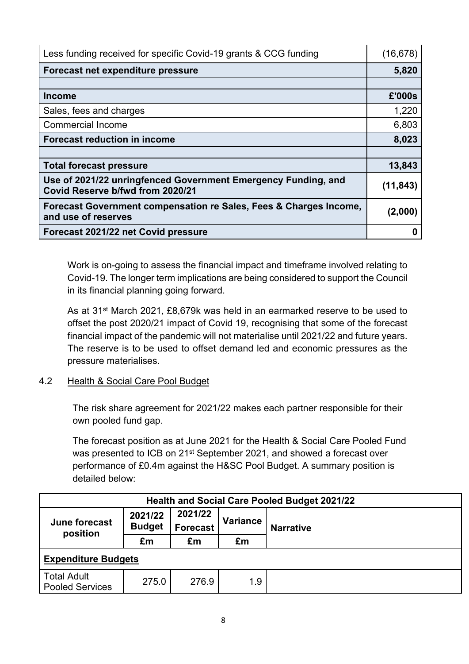| Less funding received for specific Covid-19 grants & CCG funding                                  | (16, 678) |
|---------------------------------------------------------------------------------------------------|-----------|
| Forecast net expenditure pressure                                                                 | 5,820     |
|                                                                                                   |           |
| <b>Income</b>                                                                                     | £'000s    |
| Sales, fees and charges                                                                           | 1,220     |
| <b>Commercial Income</b>                                                                          | 6,803     |
| <b>Forecast reduction in income</b>                                                               | 8,023     |
|                                                                                                   |           |
| <b>Total forecast pressure</b>                                                                    | 13,843    |
| Use of 2021/22 unringfenced Government Emergency Funding, and<br>Covid Reserve b/fwd from 2020/21 | (11, 843) |
| Forecast Government compensation re Sales, Fees & Charges Income,<br>and use of reserves          | (2,000)   |
| Forecast 2021/22 net Covid pressure                                                               |           |

Work is on-going to assess the financial impact and timeframe involved relating to Covid-19. The longer term implications are being considered to support the Council in its financial planning going forward.

As at 31st March 2021, £8,679k was held in an earmarked reserve to be used to offset the post 2020/21 impact of Covid 19, recognising that some of the forecast financial impact of the pandemic will not materialise until 2021/22 and future years. The reserve is to be used to offset demand led and economic pressures as the pressure materialises.

# 4.2 Health & Social Care Pool Budget

The risk share agreement for 2021/22 makes each partner responsible for their own pooled fund gap.

The forecast position as at June 2021 for the Health & Social Care Pooled Fund was presented to ICB on 21st September 2021, and showed a forecast over performance of £0.4m against the H&SC Pool Budget. A summary position is detailed below:

| <b>Health and Social Care Pooled Budget 2021/22</b> |                          |                            |                 |                  |  |  |
|-----------------------------------------------------|--------------------------|----------------------------|-----------------|------------------|--|--|
| June forecast<br>position                           | 2021/22<br><b>Budget</b> | 2021/22<br><b>Forecast</b> | <b>Variance</b> | <b>Narrative</b> |  |  |
|                                                     | £m                       | £m                         | £m              |                  |  |  |
| <b>Expenditure Budgets</b>                          |                          |                            |                 |                  |  |  |
| <b>Total Adult</b><br><b>Pooled Services</b>        |                          |                            |                 |                  |  |  |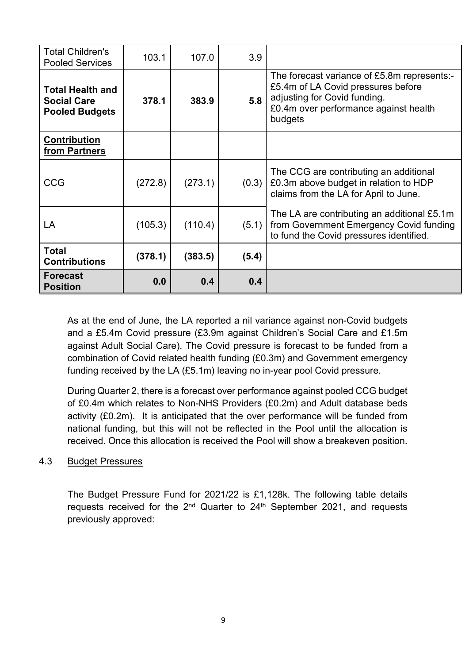| <b>Total Children's</b><br><b>Pooled Services</b>                      | 103.1   | 107.0   | 3.9   |                                                                                                                                                                       |
|------------------------------------------------------------------------|---------|---------|-------|-----------------------------------------------------------------------------------------------------------------------------------------------------------------------|
| <b>Total Health and</b><br><b>Social Care</b><br><b>Pooled Budgets</b> | 378.1   | 383.9   | 5.8   | The forecast variance of £5.8m represents:-<br>£5.4m of LA Covid pressures before<br>adjusting for Covid funding.<br>£0.4m over performance against health<br>budgets |
| Contribution<br>from Partners                                          |         |         |       |                                                                                                                                                                       |
| <b>CCG</b>                                                             | (272.8) | (273.1) | (0.3) | The CCG are contributing an additional<br>£0.3m above budget in relation to HDP<br>claims from the LA for April to June.                                              |
| LA                                                                     | (105.3) | (110.4) | (5.1) | The LA are contributing an additional £5.1m<br>from Government Emergency Covid funding<br>to fund the Covid pressures identified.                                     |
| <b>Total</b><br><b>Contributions</b>                                   | (378.1) | (383.5) | (5.4) |                                                                                                                                                                       |
| <b>Forecast</b><br><b>Position</b>                                     | 0.0     | 0.4     | 0.4   |                                                                                                                                                                       |

As at the end of June, the LA reported a nil variance against non-Covid budgets and a £5.4m Covid pressure (£3.9m against Children's Social Care and £1.5m against Adult Social Care). The Covid pressure is forecast to be funded from a combination of Covid related health funding (£0.3m) and Government emergency funding received by the LA (£5.1m) leaving no in-year pool Covid pressure.

During Quarter 2, there is a forecast over performance against pooled CCG budget of £0.4m which relates to Non-NHS Providers (£0.2m) and Adult database beds activity (£0.2m). It is anticipated that the over performance will be funded from national funding, but this will not be reflected in the Pool until the allocation is received. Once this allocation is received the Pool will show a breakeven position.

### 4.3 Budget Pressures

The Budget Pressure Fund for 2021/22 is £1,128k. The following table details requests received for the 2<sup>nd</sup> Quarter to 24<sup>th</sup> September 2021, and requests previously approved: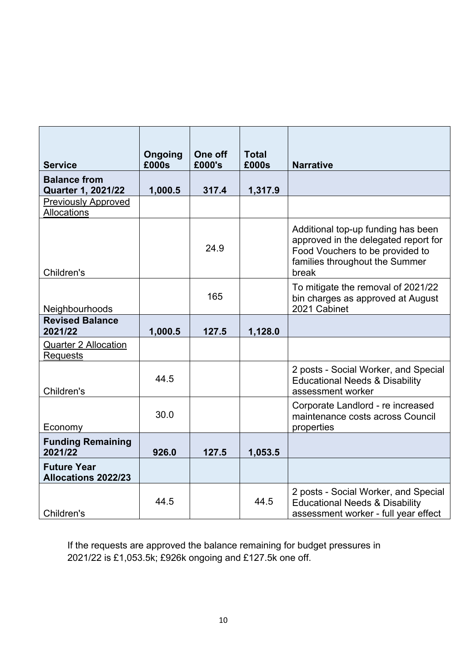| <b>Service</b>                                   | Ongoing<br>£000s | One off<br>£000's | <b>Total</b><br>£000s | <b>Narrative</b>                                                                                                                                         |
|--------------------------------------------------|------------------|-------------------|-----------------------|----------------------------------------------------------------------------------------------------------------------------------------------------------|
| <b>Balance from</b><br><b>Quarter 1, 2021/22</b> | 1,000.5          | 317.4             | 1,317.9               |                                                                                                                                                          |
| <b>Previously Approved</b><br>Allocations        |                  |                   |                       |                                                                                                                                                          |
| Children's                                       |                  | 24.9              |                       | Additional top-up funding has been<br>approved in the delegated report for<br>Food Vouchers to be provided to<br>families throughout the Summer<br>break |
| Neighbourhoods                                   |                  | 165               |                       | To mitigate the removal of 2021/22<br>bin charges as approved at August<br>2021 Cabinet                                                                  |
| <b>Revised Balance</b><br>2021/22                | 1,000.5          | 127.5             | 1,128.0               |                                                                                                                                                          |
| <b>Quarter 2 Allocation</b><br><b>Requests</b>   |                  |                   |                       |                                                                                                                                                          |
| Children's                                       | 44.5             |                   |                       | 2 posts - Social Worker, and Special<br><b>Educational Needs &amp; Disability</b><br>assessment worker                                                   |
| Economy                                          | 30.0             |                   |                       | Corporate Landlord - re increased<br>maintenance costs across Council<br>properties                                                                      |
| <b>Funding Remaining</b><br>2021/22              | 926.0            | 127.5             | 1,053.5               |                                                                                                                                                          |
| <b>Future Year</b><br><b>Allocations 2022/23</b> |                  |                   |                       |                                                                                                                                                          |
| Children's                                       | 44.5             |                   | 44.5                  | 2 posts - Social Worker, and Special<br><b>Educational Needs &amp; Disability</b><br>assessment worker - full year effect                                |

If the requests are approved the balance remaining for budget pressures in 2021/22 is £1,053.5k; £926k ongoing and £127.5k one off.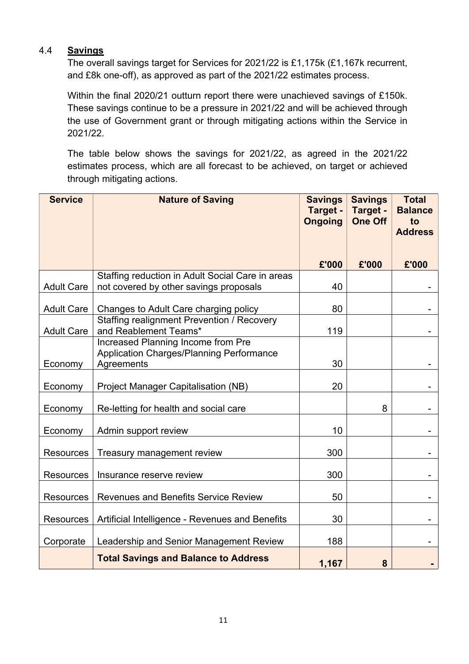#### 4.4 **Savings**

The overall savings target for Services for 2021/22 is £1,175k (£1,167k recurrent, and £8k one-off), as approved as part of the 2021/22 estimates process.

Within the final 2020/21 outturn report there were unachieved savings of £150k. These savings continue to be a pressure in 2021/22 and will be achieved through the use of Government grant or through mitigating actions within the Service in 2021/22.

The table below shows the savings for 2021/22, as agreed in the 2021/22 estimates process, which are all forecast to be achieved, on target or achieved through mitigating actions.

| <b>Service</b>    | <b>Nature of Saving</b>                                                                      | <b>Savings</b><br>Target -<br><b>Ongoing</b> | <b>Savings</b><br>Target -<br><b>One Off</b> | <b>Total</b><br><b>Balance</b><br>to |
|-------------------|----------------------------------------------------------------------------------------------|----------------------------------------------|----------------------------------------------|--------------------------------------|
|                   |                                                                                              |                                              |                                              | <b>Address</b>                       |
|                   |                                                                                              | £'000                                        | £'000                                        | £'000                                |
| <b>Adult Care</b> | Staffing reduction in Adult Social Care in areas<br>not covered by other savings proposals   | 40                                           |                                              |                                      |
| <b>Adult Care</b> | Changes to Adult Care charging policy                                                        | 80                                           |                                              |                                      |
| <b>Adult Care</b> | <b>Staffing realignment Prevention / Recovery</b><br>and Reablement Teams*                   | 119                                          |                                              |                                      |
| Economy           | Increased Planning Income from Pre<br>Application Charges/Planning Performance<br>Agreements | 30                                           |                                              |                                      |
| Economy           | Project Manager Capitalisation (NB)                                                          | 20                                           |                                              |                                      |
| Economy           | Re-letting for health and social care                                                        |                                              | 8                                            |                                      |
| Economy           | Admin support review                                                                         | 10                                           |                                              |                                      |
| <b>Resources</b>  | Treasury management review                                                                   | 300                                          |                                              |                                      |
| <b>Resources</b>  | Insurance reserve review                                                                     | 300                                          |                                              |                                      |
| <b>Resources</b>  | <b>Revenues and Benefits Service Review</b>                                                  | 50                                           |                                              |                                      |
| <b>Resources</b>  | Artificial Intelligence - Revenues and Benefits                                              | 30                                           |                                              |                                      |
| Corporate         | Leadership and Senior Management Review                                                      | 188                                          |                                              |                                      |
|                   | <b>Total Savings and Balance to Address</b>                                                  | 1,167                                        | 8                                            |                                      |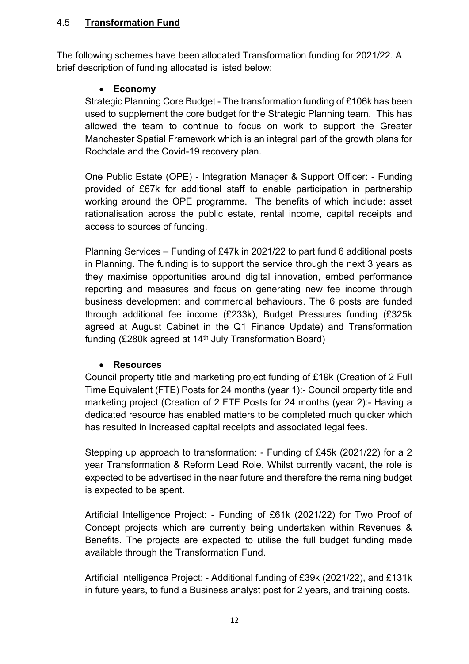## 4.5 **Transformation Fund**

The following schemes have been allocated Transformation funding for 2021/22. A brief description of funding allocated is listed below:

## **Economy**

Strategic Planning Core Budget - The transformation funding of £106k has been used to supplement the core budget for the Strategic Planning team. This has allowed the team to continue to focus on work to support the Greater Manchester Spatial Framework which is an integral part of the growth plans for Rochdale and the Covid-19 recovery plan.

One Public Estate (OPE) - Integration Manager & Support Officer: - Funding provided of £67k for additional staff to enable participation in partnership working around the OPE programme. The benefits of which include: asset rationalisation across the public estate, rental income, capital receipts and access to sources of funding.

Planning Services – Funding of £47k in 2021/22 to part fund 6 additional posts in Planning. The funding is to support the service through the next 3 years as they maximise opportunities around digital innovation, embed performance reporting and measures and focus on generating new fee income through business development and commercial behaviours. The 6 posts are funded through additional fee income (£233k), Budget Pressures funding (£325k agreed at August Cabinet in the Q1 Finance Update) and Transformation funding (£280k agreed at 14<sup>th</sup> July Transformation Board)

### **Resources**

Council property title and marketing project funding of £19k (Creation of 2 Full Time Equivalent (FTE) Posts for 24 months (year 1):- Council property title and marketing project (Creation of 2 FTE Posts for 24 months (year 2):- Having a dedicated resource has enabled matters to be completed much quicker which has resulted in increased capital receipts and associated legal fees.

Stepping up approach to transformation: - Funding of £45k (2021/22) for a 2 year Transformation & Reform Lead Role. Whilst currently vacant, the role is expected to be advertised in the near future and therefore the remaining budget is expected to be spent.

Artificial Intelligence Project: - Funding of £61k (2021/22) for Two Proof of Concept projects which are currently being undertaken within Revenues & Benefits. The projects are expected to utilise the full budget funding made available through the Transformation Fund.

Artificial Intelligence Project: - Additional funding of £39k (2021/22), and £131k in future years, to fund a Business analyst post for 2 years, and training costs.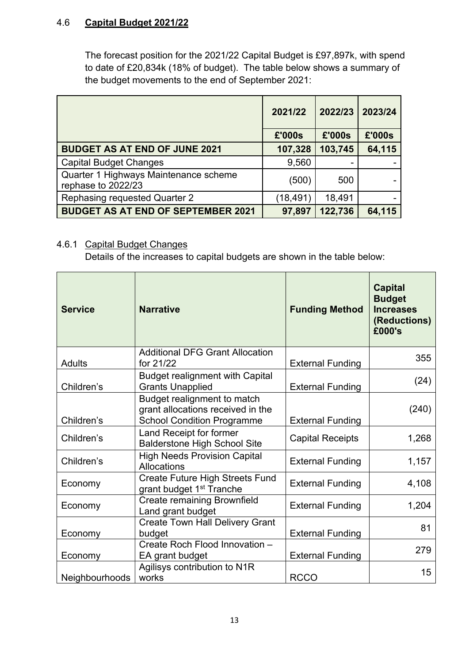### 4.6 **Capital Budget 2021/22**

The forecast position for the 2021/22 Capital Budget is £97,897k, with spend to date of £20,834k (18% of budget). The table below shows a summary of the budget movements to the end of September 2021:

|                                                             | 2021/22   | 2022/23 | 2023/24 |
|-------------------------------------------------------------|-----------|---------|---------|
|                                                             | £'000s    | £'000s  | £'000s  |
| <b>BUDGET AS AT END OF JUNE 2021</b>                        | 107,328   | 103,745 | 64,115  |
| <b>Capital Budget Changes</b>                               | 9,560     |         |         |
| Quarter 1 Highways Maintenance scheme<br>rephase to 2022/23 | (500)     | 500     |         |
| Rephasing requested Quarter 2                               | (18, 491) | 18,491  |         |
| <b>BUDGET AS AT END OF SEPTEMBER 2021</b>                   | 97,897    | 122,736 | 64,115  |

## 4.6.1 Capital Budget Changes

Details of the increases to capital budgets are shown in the table below:

| <b>Service</b> | <b>Narrative</b>                                                                                      | <b>Funding Method</b>   | <b>Capital</b><br><b>Budget</b><br><b>Increases</b><br>(Reductions)<br>£000's |
|----------------|-------------------------------------------------------------------------------------------------------|-------------------------|-------------------------------------------------------------------------------|
| Adults         | <b>Additional DFG Grant Allocation</b><br>for 21/22                                                   | <b>External Funding</b> | 355                                                                           |
| Children's     | <b>Budget realignment with Capital</b><br><b>Grants Unapplied</b>                                     | <b>External Funding</b> | (24)                                                                          |
| Children's     | Budget realignment to match<br>grant allocations received in the<br><b>School Condition Programme</b> | <b>External Funding</b> | (240)                                                                         |
| Children's     | Land Receipt for former<br><b>Balderstone High School Site</b>                                        | <b>Capital Receipts</b> | 1,268                                                                         |
| Children's     | <b>High Needs Provision Capital</b><br>Allocations                                                    | <b>External Funding</b> | 1,157                                                                         |
| Economy        | <b>Create Future High Streets Fund</b><br>grant budget 1 <sup>st</sup> Tranche                        | <b>External Funding</b> | 4,108                                                                         |
| Economy        | <b>Create remaining Brownfield</b><br>Land grant budget                                               | <b>External Funding</b> | 1,204                                                                         |
| Economy        | <b>Create Town Hall Delivery Grant</b><br>budget                                                      | <b>External Funding</b> | 81                                                                            |
| Economy        | Create Roch Flood Innovation -<br>EA grant budget                                                     | <b>External Funding</b> | 279                                                                           |
| Neighbourhoods | Agilisys contribution to N1R<br>works                                                                 | <b>RCCO</b>             | 15                                                                            |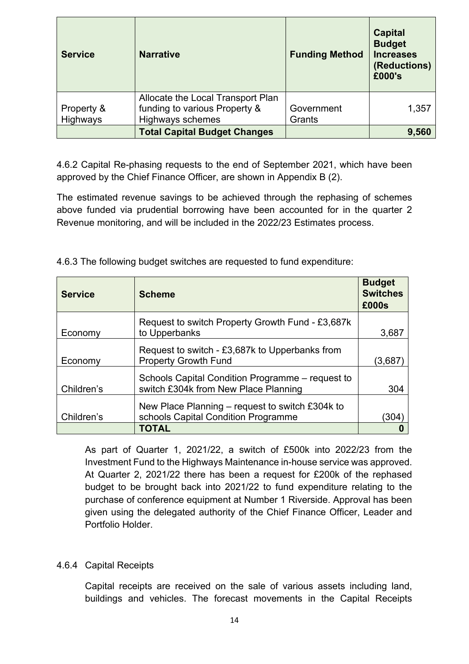| <b>Service</b>         | <b>Narrative</b>                                                                       | <b>Funding Method</b> | <b>Capital</b><br><b>Budget</b><br><b>Increases</b><br>(Reductions)<br>£000's |
|------------------------|----------------------------------------------------------------------------------------|-----------------------|-------------------------------------------------------------------------------|
| Property &<br>Highways | Allocate the Local Transport Plan<br>funding to various Property &<br>Highways schemes | Government<br>Grants  | 1,357                                                                         |
|                        | <b>Total Capital Budget Changes</b>                                                    |                       | 9,560                                                                         |

4.6.2 Capital Re-phasing requests to the end of September 2021, which have been approved by the Chief Finance Officer, are shown in Appendix B (2).

The estimated revenue savings to be achieved through the rephasing of schemes above funded via prudential borrowing have been accounted for in the quarter 2 Revenue monitoring, and will be included in the 2022/23 Estimates process.

| <b>Service</b> | <b>Scheme</b>                                                                            | <b>Budget</b><br><b>Switches</b><br>£000s |
|----------------|------------------------------------------------------------------------------------------|-------------------------------------------|
| Economy        | Request to switch Property Growth Fund - £3,687k<br>to Upperbanks                        | 3,687                                     |
| Economy        | Request to switch - £3,687k to Upperbanks from<br><b>Property Growth Fund</b>            | (3,687)                                   |
| Children's     | Schools Capital Condition Programme – request to<br>switch £304k from New Place Planning | 304                                       |
| Children's     | New Place Planning $-$ request to switch £304k to<br>schools Capital Condition Programme | (304)                                     |
|                | <b>TOTAL</b>                                                                             |                                           |

4.6.3 The following budget switches are requested to fund expenditure:

As part of Quarter 1, 2021/22, a switch of £500k into 2022/23 from the Investment Fund to the Highways Maintenance in-house service was approved. At Quarter 2, 2021/22 there has been a request for £200k of the rephased budget to be brought back into 2021/22 to fund expenditure relating to the purchase of conference equipment at Number 1 Riverside. Approval has been given using the delegated authority of the Chief Finance Officer, Leader and Portfolio Holder.

### 4.6.4 Capital Receipts

Capital receipts are received on the sale of various assets including land, buildings and vehicles. The forecast movements in the Capital Receipts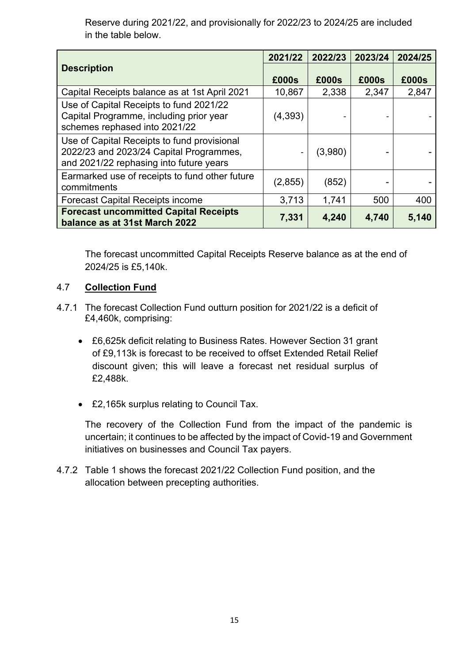Reserve during 2021/22, and provisionally for 2022/23 to 2024/25 are included in the table below.

|                                                                                                                                   | 2021/22 | 2022/23 | 2023/24 | 2024/25 |
|-----------------------------------------------------------------------------------------------------------------------------------|---------|---------|---------|---------|
| <b>Description</b>                                                                                                                | £000s   | £000s   | £000s   | £000s   |
| Capital Receipts balance as at 1st April 2021                                                                                     | 10,867  | 2,338   | 2,347   | 2,847   |
| Use of Capital Receipts to fund 2021/22<br>Capital Programme, including prior year<br>schemes rephased into 2021/22               | (4,393) |         |         |         |
| Use of Capital Receipts to fund provisional<br>2022/23 and 2023/24 Capital Programmes,<br>and 2021/22 rephasing into future years |         | (3,980) |         |         |
| Earmarked use of receipts to fund other future<br>commitments                                                                     | (2,855) | (852)   |         |         |
| <b>Forecast Capital Receipts income</b>                                                                                           | 3,713   | 1,741   | 500     | 400     |
| <b>Forecast uncommitted Capital Receipts</b><br>balance as at 31st March 2022                                                     | 7,331   | 4,240   | 4,740   | 5,140   |

The forecast uncommitted Capital Receipts Reserve balance as at the end of 2024/25 is £5,140k.

## 4.7 **Collection Fund**

- 4.7.1 The forecast Collection Fund outturn position for 2021/22 is a deficit of £4,460k, comprising:
	- £6,625k deficit relating to Business Rates. However Section 31 grant of £9,113k is forecast to be received to offset Extended Retail Relief discount given; this will leave a forecast net residual surplus of £2,488k.
	- £2,165k surplus relating to Council Tax.

The recovery of the Collection Fund from the impact of the pandemic is uncertain; it continues to be affected by the impact of Covid-19 and Government initiatives on businesses and Council Tax payers.

4.7.2 Table 1 shows the forecast 2021/22 Collection Fund position, and the allocation between precepting authorities.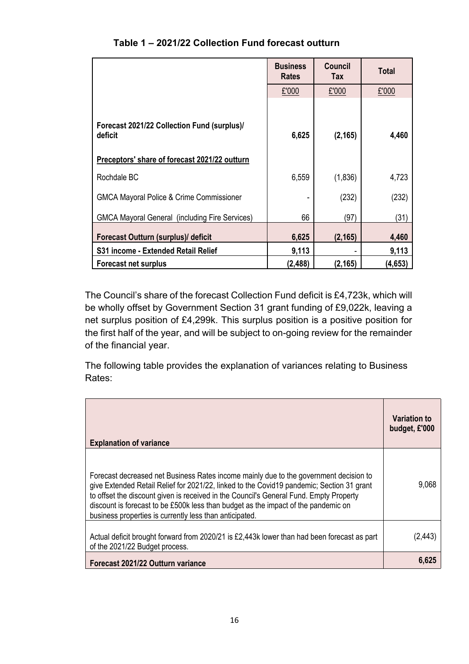|                                                        | <b>Business</b><br><b>Rates</b> | Council<br>Tax | <b>Total</b> |
|--------------------------------------------------------|---------------------------------|----------------|--------------|
|                                                        | £'000                           | £'000          | £'000        |
| Forecast 2021/22 Collection Fund (surplus)/<br>deficit | 6,625                           | (2, 165)       | 4,460        |
| Preceptors' share of forecast 2021/22 outturn          |                                 |                |              |
| Rochdale BC                                            | 6,559                           | (1,836)        | 4,723        |
| <b>GMCA Mayoral Police &amp; Crime Commissioner</b>    |                                 | (232)          | (232)        |
| <b>GMCA Mayoral General (including Fire Services)</b>  | 66                              | (97)           | (31)         |
| Forecast Outturn (surplus)/ deficit                    | 6,625                           | (2, 165)       | 4,460        |
| S31 income - Extended Retail Relief                    | 9,113                           |                | 9,113        |
| <b>Forecast net surplus</b>                            | (2, 488)                        | (2, 165)       | (4,653)      |

## **Table 1 – 2021/22 Collection Fund forecast outturn**

The Council's share of the forecast Collection Fund deficit is £4,723k, which will be wholly offset by Government Section 31 grant funding of £9,022k, leaving a net surplus position of £4,299k. This surplus position is a positive position for the first half of the year, and will be subject to on-going review for the remainder of the financial year.

The following table provides the explanation of variances relating to Business Rates:

| <b>Explanation of variance</b>                                                                                                                                                                                                                                                                                                                                                                                                | Variation to<br>budget, £'000 |
|-------------------------------------------------------------------------------------------------------------------------------------------------------------------------------------------------------------------------------------------------------------------------------------------------------------------------------------------------------------------------------------------------------------------------------|-------------------------------|
| Forecast decreased net Business Rates income mainly due to the government decision to<br>give Extended Retail Relief for 2021/22, linked to the Covid19 pandemic; Section 31 grant<br>to offset the discount given is received in the Council's General Fund. Empty Property<br>discount is forecast to be £500k less than budget as the impact of the pandemic on<br>business properties is currently less than anticipated. | 9,068                         |
| Actual deficit brought forward from 2020/21 is £2,443k lower than had been forecast as part<br>of the 2021/22 Budget process.                                                                                                                                                                                                                                                                                                 | (2.443                        |
| Forecast 2021/22 Outturn variance                                                                                                                                                                                                                                                                                                                                                                                             | 6,625                         |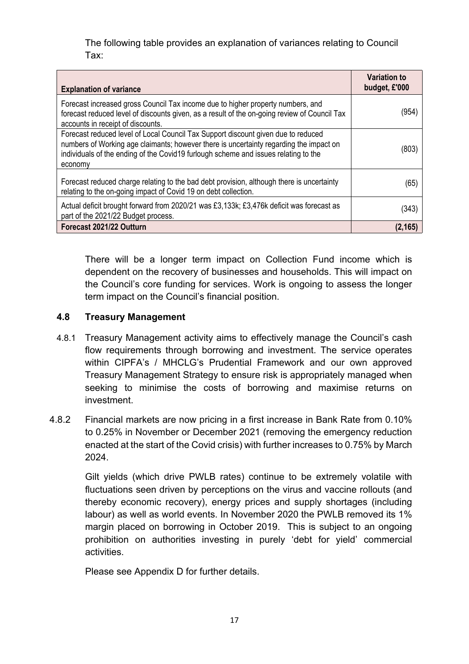The following table provides an explanation of variances relating to Council Tax:

| <b>Explanation of variance</b>                                                                                                                                                                                                                                                | <b>Variation to</b><br>budget, £'000 |
|-------------------------------------------------------------------------------------------------------------------------------------------------------------------------------------------------------------------------------------------------------------------------------|--------------------------------------|
| Forecast increased gross Council Tax income due to higher property numbers, and<br>forecast reduced level of discounts given, as a result of the on-going review of Council Tax<br>accounts in receipt of discounts.                                                          | (954)                                |
| Forecast reduced level of Local Council Tax Support discount given due to reduced<br>numbers of Working age claimants; however there is uncertainty regarding the impact on<br>individuals of the ending of the Covid19 furlough scheme and issues relating to the<br>economy | (803)                                |
| Forecast reduced charge relating to the bad debt provision, although there is uncertainty<br>relating to the on-going impact of Covid 19 on debt collection.                                                                                                                  | (65)                                 |
| Actual deficit brought forward from 2020/21 was £3,133k; £3,476k deficit was forecast as<br>part of the 2021/22 Budget process.                                                                                                                                               | (343)                                |
| Forecast 2021/22 Outturn                                                                                                                                                                                                                                                      | (2, 165)                             |

There will be a longer term impact on Collection Fund income which is dependent on the recovery of businesses and households. This will impact on the Council's core funding for services. Work is ongoing to assess the longer term impact on the Council's financial position.

### **4.8 Treasury Management**

- 4.8.1 Treasury Management activity aims to effectively manage the Council's cash flow requirements through borrowing and investment. The service operates within CIPFA's / MHCLG's Prudential Framework and our own approved Treasury Management Strategy to ensure risk is appropriately managed when seeking to minimise the costs of borrowing and maximise returns on investment.
- 4.8.2 Financial markets are now pricing in a first increase in Bank Rate from 0.10% to 0.25% in November or December 2021 (removing the emergency reduction enacted at the start of the Covid crisis) with further increases to 0.75% by March 2024.

Gilt yields (which drive PWLB rates) continue to be extremely volatile with fluctuations seen driven by perceptions on the virus and vaccine rollouts (and thereby economic recovery), energy prices and supply shortages (including labour) as well as world events. In November 2020 the PWLB removed its 1% margin placed on borrowing in October 2019. This is subject to an ongoing prohibition on authorities investing in purely 'debt for yield' commercial activities.

Please see Appendix D for further details.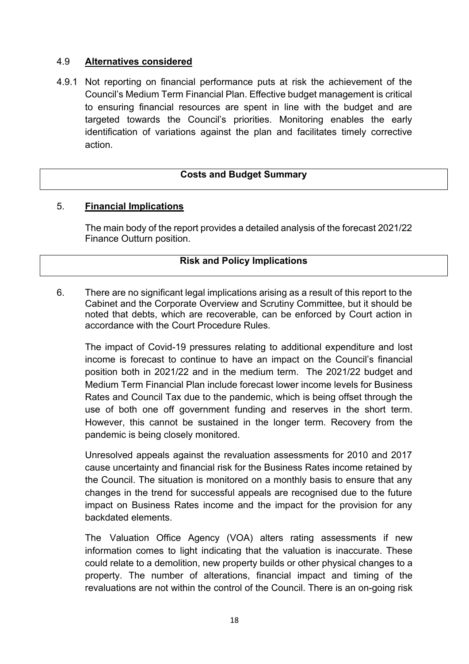### 4.9 **Alternatives considered**

4.9.1 Not reporting on financial performance puts at risk the achievement of the Council's Medium Term Financial Plan. Effective budget management is critical to ensuring financial resources are spent in line with the budget and are targeted towards the Council's priorities. Monitoring enables the early identification of variations against the plan and facilitates timely corrective action.

#### **Costs and Budget Summary**

#### 5. **Financial Implications**

The main body of the report provides a detailed analysis of the forecast 2021/22 Finance Outturn position.

#### **Risk and Policy Implications**

6. There are no significant legal implications arising as a result of this report to the Cabinet and the Corporate Overview and Scrutiny Committee, but it should be noted that debts, which are recoverable, can be enforced by Court action in accordance with the Court Procedure Rules.

The impact of Covid-19 pressures relating to additional expenditure and lost income is forecast to continue to have an impact on the Council's financial position both in 2021/22 and in the medium term. The 2021/22 budget and Medium Term Financial Plan include forecast lower income levels for Business Rates and Council Tax due to the pandemic, which is being offset through the use of both one off government funding and reserves in the short term. However, this cannot be sustained in the longer term. Recovery from the pandemic is being closely monitored.

Unresolved appeals against the revaluation assessments for 2010 and 2017 cause uncertainty and financial risk for the Business Rates income retained by the Council. The situation is monitored on a monthly basis to ensure that any changes in the trend for successful appeals are recognised due to the future impact on Business Rates income and the impact for the provision for any backdated elements.

The Valuation Office Agency (VOA) alters rating assessments if new information comes to light indicating that the valuation is inaccurate. These could relate to a demolition, new property builds or other physical changes to a property. The number of alterations, financial impact and timing of the revaluations are not within the control of the Council. There is an on-going risk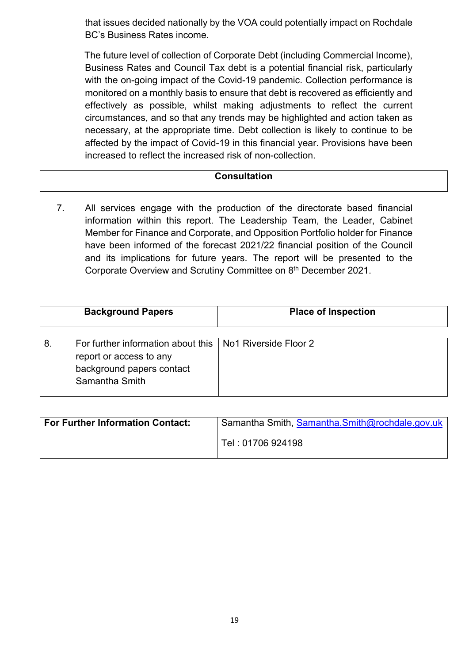that issues decided nationally by the VOA could potentially impact on Rochdale BC's Business Rates income.

The future level of collection of Corporate Debt (including Commercial Income), Business Rates and Council Tax debt is a potential financial risk, particularly with the on-going impact of the Covid-19 pandemic. Collection performance is monitored on a monthly basis to ensure that debt is recovered as efficiently and effectively as possible, whilst making adjustments to reflect the current circumstances, and so that any trends may be highlighted and action taken as necessary, at the appropriate time. Debt collection is likely to continue to be affected by the impact of Covid-19 in this financial year. Provisions have been increased to reflect the increased risk of non-collection.

### **Consultation**

7. All services engage with the production of the directorate based financial information within this report. The Leadership Team, the Leader, Cabinet Member for Finance and Corporate, and Opposition Portfolio holder for Finance have been informed of the forecast 2021/22 financial position of the Council and its implications for future years. The report will be presented to the Corporate Overview and Scrutiny Committee on 8 th December 2021.

| <b>Background Papers</b> |                                                                                                              | <b>Place of Inspection</b> |
|--------------------------|--------------------------------------------------------------------------------------------------------------|----------------------------|
| 8.                       | For further information about this<br>report or access to any<br>background papers contact<br>Samantha Smith | No1 Riverside Floor 2      |

| <b>For Further Information Contact:</b> | Samantha Smith, Samantha.Smith@rochdale.gov.uk |
|-----------------------------------------|------------------------------------------------|
|                                         | Tel: 01706 924198                              |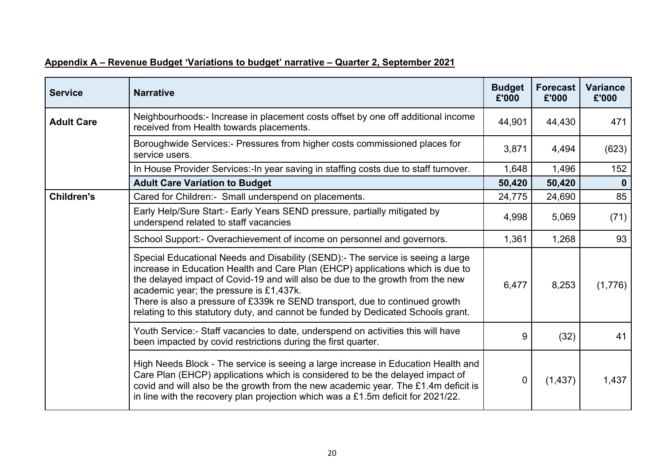| <b>Service</b>    | <b>Narrative</b>                                                                                                                                                                                                                                                                                                                                                                                                                                                    | <b>Budget</b><br>£'000 | <b>Forecast</b><br>£'000 | <b>Variance</b><br>£'000 |
|-------------------|---------------------------------------------------------------------------------------------------------------------------------------------------------------------------------------------------------------------------------------------------------------------------------------------------------------------------------------------------------------------------------------------------------------------------------------------------------------------|------------------------|--------------------------|--------------------------|
| <b>Adult Care</b> | Neighbourhoods:- Increase in placement costs offset by one off additional income<br>received from Health towards placements.                                                                                                                                                                                                                                                                                                                                        | 44,901                 | 44,430                   | 471                      |
|                   | Boroughwide Services:- Pressures from higher costs commissioned places for<br>service users.                                                                                                                                                                                                                                                                                                                                                                        | 3,871                  | 4,494                    | (623)                    |
|                   | In House Provider Services: In year saving in staffing costs due to staff turnover.                                                                                                                                                                                                                                                                                                                                                                                 | 1,648                  | 1,496                    | 152                      |
|                   | <b>Adult Care Variation to Budget</b>                                                                                                                                                                                                                                                                                                                                                                                                                               | 50,420                 | 50,420                   | $\mathbf{0}$             |
| <b>Children's</b> | Cared for Children:- Small underspend on placements.                                                                                                                                                                                                                                                                                                                                                                                                                | 24,775                 | 24,690                   | 85                       |
|                   | Early Help/Sure Start:- Early Years SEND pressure, partially mitigated by<br>underspend related to staff vacancies                                                                                                                                                                                                                                                                                                                                                  | 4,998                  | 5,069                    | (71)                     |
|                   | School Support: - Overachievement of income on personnel and governors.                                                                                                                                                                                                                                                                                                                                                                                             | 1,361                  | 1,268                    | 93                       |
|                   | Special Educational Needs and Disability (SEND):- The service is seeing a large<br>increase in Education Health and Care Plan (EHCP) applications which is due to<br>the delayed impact of Covid-19 and will also be due to the growth from the new<br>academic year; the pressure is £1,437k.<br>There is also a pressure of £339k re SEND transport, due to continued growth<br>relating to this statutory duty, and cannot be funded by Dedicated Schools grant. | 6,477                  | 8,253                    | (1,776)                  |
|                   | Youth Service:- Staff vacancies to date, underspend on activities this will have<br>been impacted by covid restrictions during the first quarter.                                                                                                                                                                                                                                                                                                                   | 9                      | (32)                     | 41                       |
|                   | High Needs Block - The service is seeing a large increase in Education Health and<br>Care Plan (EHCP) applications which is considered to be the delayed impact of<br>covid and will also be the growth from the new academic year. The £1.4m deficit is<br>in line with the recovery plan projection which was a £1.5m deficit for $2021/22$ .                                                                                                                     | 0                      | (1, 437)                 | 1,437                    |

# **Appendix A – Revenue Budget 'Variations to budget' narrative – Quarter 2, September 2021**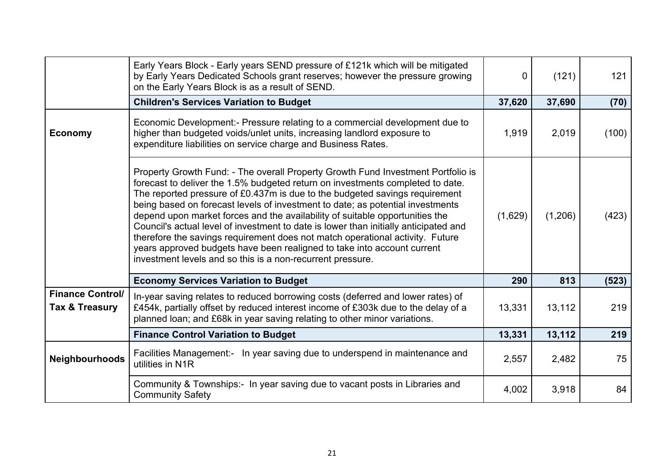|                                           | Early Years Block - Early years SEND pressure of £121k which will be mitigated<br>by Early Years Dedicated Schools grant reserves; however the pressure growing<br>on the Early Years Block is as a result of SEND.                                                                                                                                                                                                                                                                                                                                                                                                                                                                                                                   | 0       | (121)   | 121   |
|-------------------------------------------|---------------------------------------------------------------------------------------------------------------------------------------------------------------------------------------------------------------------------------------------------------------------------------------------------------------------------------------------------------------------------------------------------------------------------------------------------------------------------------------------------------------------------------------------------------------------------------------------------------------------------------------------------------------------------------------------------------------------------------------|---------|---------|-------|
|                                           | <b>Children's Services Variation to Budget</b>                                                                                                                                                                                                                                                                                                                                                                                                                                                                                                                                                                                                                                                                                        | 37,620  | 37,690  | (70)  |
| <b>Economy</b>                            | Economic Development:- Pressure relating to a commercial development due to<br>higher than budgeted voids/unlet units, increasing landlord exposure to<br>expenditure liabilities on service charge and Business Rates.                                                                                                                                                                                                                                                                                                                                                                                                                                                                                                               | 1,919   | 2,019   | (100) |
|                                           | Property Growth Fund: - The overall Property Growth Fund Investment Portfolio is<br>forecast to deliver the 1.5% budgeted return on investments completed to date.<br>The reported pressure of £0.437m is due to the budgeted savings requirement<br>being based on forecast levels of investment to date; as potential investments<br>depend upon market forces and the availability of suitable opportunities the<br>Council's actual level of investment to date is lower than initially anticipated and<br>therefore the savings requirement does not match operational activity. Future<br>years approved budgets have been realigned to take into account current<br>investment levels and so this is a non-recurrent pressure. | (1,629) | (1,206) | (423) |
|                                           | <b>Economy Services Variation to Budget</b>                                                                                                                                                                                                                                                                                                                                                                                                                                                                                                                                                                                                                                                                                           | 290     | 813     | (523) |
| <b>Finance Control/</b><br>Tax & Treasury | In-year saving relates to reduced borrowing costs (deferred and lower rates) of<br>£454k, partially offset by reduced interest income of £303k due to the delay of a<br>planned loan; and £68k in year saving relating to other minor variations.                                                                                                                                                                                                                                                                                                                                                                                                                                                                                     | 13,331  | 13,112  | 219   |
|                                           | <b>Finance Control Variation to Budget</b>                                                                                                                                                                                                                                                                                                                                                                                                                                                                                                                                                                                                                                                                                            | 13,331  | 13,112  | 219   |
| Neighbourhoods                            | Facilities Management:- In year saving due to underspend in maintenance and<br>utilities in N1R                                                                                                                                                                                                                                                                                                                                                                                                                                                                                                                                                                                                                                       | 2,557   | 2,482   | 75    |
|                                           | Community & Townships:- In year saving due to vacant posts in Libraries and<br><b>Community Safety</b>                                                                                                                                                                                                                                                                                                                                                                                                                                                                                                                                                                                                                                | 4,002   | 3,918   | 84    |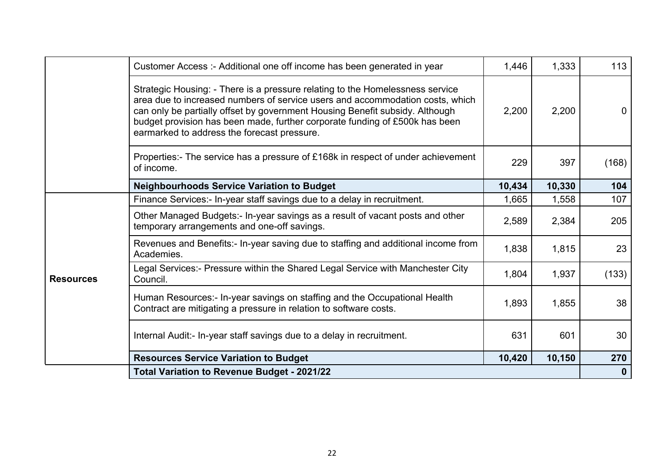|                  | Customer Access :- Additional one off income has been generated in year                                                                                                                                                                                                                                                                                                      | 1,446  | 1,333  | 113          |
|------------------|------------------------------------------------------------------------------------------------------------------------------------------------------------------------------------------------------------------------------------------------------------------------------------------------------------------------------------------------------------------------------|--------|--------|--------------|
|                  | Strategic Housing: - There is a pressure relating to the Homelessness service<br>area due to increased numbers of service users and accommodation costs, which<br>can only be partially offset by government Housing Benefit subsidy. Although<br>budget provision has been made, further corporate funding of £500k has been<br>earmarked to address the forecast pressure. | 2,200  | 2,200  | $\mathbf{0}$ |
|                  | Properties:- The service has a pressure of £168k in respect of under achievement<br>of income.                                                                                                                                                                                                                                                                               | 229    | 397    | (168)        |
|                  | <b>Neighbourhoods Service Variation to Budget</b>                                                                                                                                                                                                                                                                                                                            | 10,434 | 10,330 | 104          |
|                  | Finance Services:- In-year staff savings due to a delay in recruitment.                                                                                                                                                                                                                                                                                                      | 1,665  | 1,558  | 107          |
|                  | Other Managed Budgets:- In-year savings as a result of vacant posts and other<br>temporary arrangements and one-off savings.                                                                                                                                                                                                                                                 | 2,589  | 2,384  | 205          |
|                  | Revenues and Benefits:- In-year saving due to staffing and additional income from<br>Academies.                                                                                                                                                                                                                                                                              | 1,838  | 1,815  | 23           |
| <b>Resources</b> | Legal Services:- Pressure within the Shared Legal Service with Manchester City<br>Council.                                                                                                                                                                                                                                                                                   | 1,804  | 1,937  | (133)        |
|                  | Human Resources:- In-year savings on staffing and the Occupational Health<br>Contract are mitigating a pressure in relation to software costs.                                                                                                                                                                                                                               | 1,893  | 1,855  | 38           |
|                  | Internal Audit:- In-year staff savings due to a delay in recruitment.                                                                                                                                                                                                                                                                                                        | 631    | 601    | 30           |
|                  | <b>Resources Service Variation to Budget</b>                                                                                                                                                                                                                                                                                                                                 | 10,420 | 10,150 | 270          |
|                  | <b>Total Variation to Revenue Budget - 2021/22</b>                                                                                                                                                                                                                                                                                                                           |        |        | $\mathbf 0$  |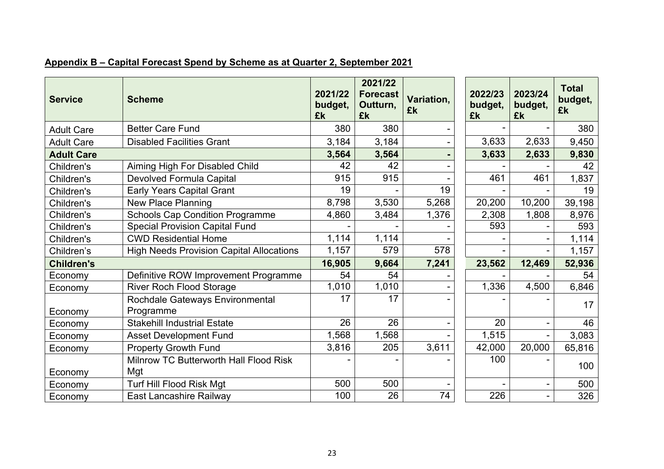| <b>Service</b>    | <b>Scheme</b>                                   | 2021/22<br>budget,<br>£k | 2021/22<br><b>Forecast</b><br>Outturn,<br>£k | Variation,<br>£k | 2022/23<br>budget,<br>£k | 2023/24<br>budget,<br>£k | <b>Total</b><br>budget,<br>£k |
|-------------------|-------------------------------------------------|--------------------------|----------------------------------------------|------------------|--------------------------|--------------------------|-------------------------------|
| <b>Adult Care</b> | <b>Better Care Fund</b>                         | 380                      | 380                                          |                  |                          |                          | 380                           |
| <b>Adult Care</b> | <b>Disabled Facilities Grant</b>                | 3,184                    | 3,184                                        |                  | 3,633                    | 2,633                    | 9,450                         |
| <b>Adult Care</b> |                                                 | 3,564                    | 3,564                                        |                  | 3,633                    | 2,633                    | 9,830                         |
| Children's        | Aiming High For Disabled Child                  | 42                       | 42                                           |                  |                          |                          | 42                            |
| Children's        | <b>Devolved Formula Capital</b>                 | 915                      | 915                                          |                  | 461                      | 461                      | 1,837                         |
| Children's        | <b>Early Years Capital Grant</b>                | 19                       |                                              | 19               |                          |                          | 19                            |
| Children's        | <b>New Place Planning</b>                       | 8,798                    | 3,530                                        | 5,268            | 20,200                   | 10,200                   | 39,198                        |
| Children's        | <b>Schools Cap Condition Programme</b>          | 4,860                    | 3,484                                        | 1,376            | 2,308                    | 1,808                    | 8,976                         |
| Children's        | <b>Special Provision Capital Fund</b>           |                          |                                              |                  | 593                      |                          | 593                           |
| Children's        | <b>CWD Residential Home</b>                     | 1,114                    | 1,114                                        |                  |                          |                          | 1,114                         |
| Children's        | <b>High Needs Provision Capital Allocations</b> | 1,157                    | 579                                          | 578              |                          |                          | 1,157                         |
| <b>Children's</b> |                                                 | 16,905                   | 9,664                                        | 7,241            | 23,562                   | 12,469                   | 52,936                        |
| Economy           | Definitive ROW Improvement Programme            | 54                       | 54                                           |                  |                          |                          | 54                            |
| Economy           | <b>River Roch Flood Storage</b>                 | 1,010                    | 1,010                                        |                  | 1,336                    | 4,500                    | 6,846                         |
| Economy           | Rochdale Gateways Environmental<br>Programme    | 17                       | 17                                           |                  |                          |                          | 17                            |
| Economy           | <b>Stakehill Industrial Estate</b>              | 26                       | 26                                           |                  | 20                       |                          | 46                            |
| Economy           | <b>Asset Development Fund</b>                   | 1,568                    | 1,568                                        |                  | 1,515                    |                          | 3,083                         |
| Economy           | <b>Property Growth Fund</b>                     | 3,816                    | 205                                          | 3,611            | 42,000                   | 20,000                   | 65,816                        |
| Economy           | Milnrow TC Butterworth Hall Flood Risk<br>Mgt   |                          |                                              |                  | 100                      |                          | 100                           |
| Economy           | Turf Hill Flood Risk Mgt                        | 500                      | 500                                          |                  |                          |                          | 500                           |
| Economy           | East Lancashire Railway                         | 100                      | 26                                           | 74               | 226                      |                          | 326                           |

# **Appendix B – Capital Forecast Spend by Scheme as at Quarter 2, September 2021**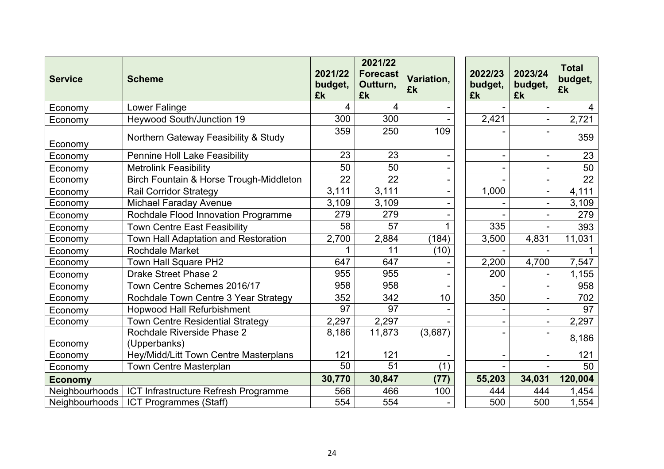| <b>Service</b>        | <b>Scheme</b>                              | 2021/22<br>budget,<br>£k | 2021/22<br><b>Forecast</b><br>Outturn,<br>£k | Variation,<br>£k         | 2022/23<br>budget,<br>£k | 2023/24<br>budget,<br>£k | <b>Total</b><br>budget,<br>£k |
|-----------------------|--------------------------------------------|--------------------------|----------------------------------------------|--------------------------|--------------------------|--------------------------|-------------------------------|
| Economy               | Lower Falinge                              | 4                        | 4                                            |                          |                          |                          | 4                             |
| Economy               | <b>Heywood South/Junction 19</b>           | 300                      | 300                                          |                          | 2,421                    |                          | 2,721                         |
| Economy               | Northern Gateway Feasibility & Study       | 359                      | 250                                          | 109                      |                          |                          | 359                           |
| Economy               | <b>Pennine Holl Lake Feasibility</b>       | 23                       | 23                                           |                          |                          |                          | 23                            |
| Economy               | <b>Metrolink Feasibility</b>               | 50                       | 50                                           |                          |                          |                          | 50                            |
| Economy               | Birch Fountain & Horse Trough-Middleton    | 22                       | 22                                           | $\overline{\phantom{0}}$ |                          | $\blacksquare$           | $\overline{22}$               |
| Economy               | <b>Rail Corridor Strategy</b>              | 3,111                    | 3,111                                        |                          | 1,000                    |                          | 4,111                         |
| Economy               | Michael Faraday Avenue                     | 3,109                    | 3,109                                        |                          |                          |                          | 3,109                         |
| Economy               | Rochdale Flood Innovation Programme        | 279                      | 279                                          |                          |                          |                          | 279                           |
| Economy               | Town Centre East Feasibility               | 58                       | 57                                           |                          | 335                      |                          | 393                           |
| Economy               | Town Hall Adaptation and Restoration       | 2,700                    | 2,884                                        | (184)                    | 3,500                    | 4,831                    | 11,031                        |
| Economy               | Rochdale Market                            |                          | 11                                           | (10)                     |                          |                          |                               |
| Economy               | Town Hall Square PH2                       | 647                      | 647                                          |                          | 2,200                    | 4,700                    | 7,547                         |
| Economy               | Drake Street Phase 2                       | 955                      | 955                                          |                          | 200                      |                          | 1,155                         |
| Economy               | Town Centre Schemes 2016/17                | 958                      | 958                                          |                          |                          |                          | 958                           |
| Economy               | Rochdale Town Centre 3 Year Strategy       | 352                      | 342                                          | 10                       | 350                      |                          | 702                           |
| Economy               | <b>Hopwood Hall Refurbishment</b>          | 97                       | 97                                           |                          |                          |                          | 97                            |
| Economy               | <b>Town Centre Residential Strategy</b>    | 2,297                    | 2,297                                        |                          |                          | ÷                        | 2,297                         |
| Economy               | Rochdale Riverside Phase 2<br>(Upperbanks) | 8,186                    | 11,873                                       | (3,687)                  |                          |                          | 8,186                         |
| Economy               | Hey/Midd/Litt Town Centre Masterplans      | 121                      | 121                                          |                          |                          |                          | 121                           |
| Economy               | <b>Town Centre Masterplan</b>              | 50                       | 51                                           | (1)                      |                          |                          | 50                            |
| <b>Economy</b>        |                                            | 30,770                   | 30,847                                       | (77)                     | 55,203                   | 34,031                   | 120,004                       |
| Neighbourhoods        | ICT Infrastructure Refresh Programme       | 566                      | 466                                          | 100                      | 444                      | 444                      | 1,454                         |
| <b>Neighbourhoods</b> | ICT Programmes (Staff)                     | 554                      | 554                                          |                          | 500                      | 500                      | 1,554                         |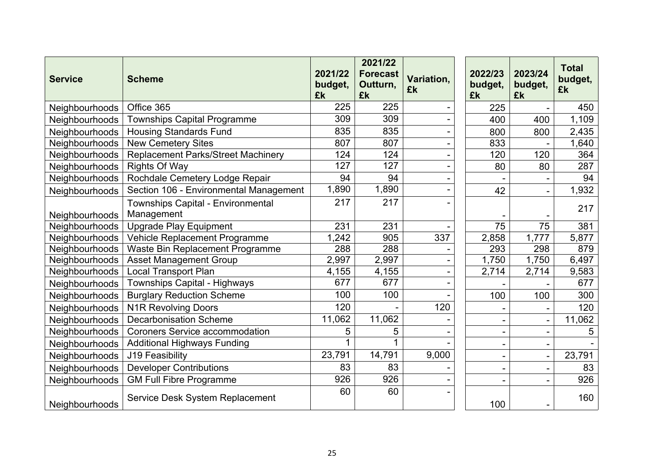| <b>Service</b>        | <b>Scheme</b>                                   | 2021/22<br>budget,<br>£k | 2021/22<br><b>Forecast</b><br>Outturn,<br>£k | Variation,<br>£k | 2022/23<br>budget,<br>£k | 2023/24<br>budget,<br>£k | <b>Total</b><br>budget,<br>£k |
|-----------------------|-------------------------------------------------|--------------------------|----------------------------------------------|------------------|--------------------------|--------------------------|-------------------------------|
| <b>Neighbourhoods</b> | Office 365                                      | 225                      | 225                                          |                  | 225                      |                          | 450                           |
| Neighbourhoods        | Townships Capital Programme                     | 309                      | 309                                          |                  | 400                      | 400                      | 1,109                         |
| Neighbourhoods        | <b>Housing Standards Fund</b>                   | 835                      | 835                                          |                  | 800                      | 800                      | 2,435                         |
| Neighbourhoods        | <b>New Cemetery Sites</b>                       | 807                      | 807                                          |                  | 833                      |                          | 1,640                         |
| Neighbourhoods        | Replacement Parks/Street Machinery              | 124                      | 124                                          |                  | 120                      | 120                      | 364                           |
| Neighbourhoods        | <b>Rights Of Way</b>                            | 127                      | 127                                          |                  | 80                       | 80                       | 287                           |
| Neighbourhoods        | Rochdale Cemetery Lodge Repair                  | 94                       | 94                                           |                  |                          |                          | 94                            |
| Neighbourhoods        | Section 106 - Environmental Management          | 1,890                    | 1,890                                        |                  | 42                       |                          | 1,932                         |
| Neighbourhoods        | Townships Capital - Environmental<br>Management | 217                      | 217                                          |                  |                          |                          | 217                           |
| Neighbourhoods        | <b>Upgrade Play Equipment</b>                   | 231                      | 231                                          |                  | 75                       | 75                       | 381                           |
| Neighbourhoods        | Vehicle Replacement Programme                   | 1,242                    | 905                                          | 337              | 2,858                    | 1,777                    | 5,877                         |
| <b>Neighbourhoods</b> | Waste Bin Replacement Programme                 | 288                      | 288                                          |                  | 293                      | 298                      | 879                           |
| Neighbourhoods        | <b>Asset Management Group</b>                   | 2,997                    | 2,997                                        |                  | 1,750                    | 1,750                    | 6,497                         |
| Neighbourhoods        | <b>Local Transport Plan</b>                     | 4,155                    | 4,155                                        |                  | 2,714                    | 2,714                    | 9,583                         |
| Neighbourhoods        | Townships Capital - Highways                    | 677                      | 677                                          |                  |                          |                          | 677                           |
| Neighbourhoods        | <b>Burglary Reduction Scheme</b>                | 100                      | 100                                          |                  | 100                      | 100                      | 300                           |
| Neighbourhoods        | <b>N1R Revolving Doors</b>                      | 120                      |                                              | 120              |                          |                          | 120                           |
| Neighbourhoods        | <b>Decarbonisation Scheme</b>                   | 11,062                   | 11,062                                       |                  |                          |                          | 11,062                        |
| Neighbourhoods        | <b>Coroners Service accommodation</b>           | 5                        | 5                                            |                  | $\overline{\phantom{a}}$ | $\blacksquare$           | 5                             |
| Neighbourhoods        | <b>Additional Highways Funding</b>              | 1                        | 1                                            |                  | $\blacksquare$           | $\blacksquare$           |                               |
| Neighbourhoods        | <b>J19 Feasibility</b>                          | 23,791                   | 14,791                                       | 9,000            | $\sim$                   | $\overline{\phantom{a}}$ | 23,791                        |
| Neighbourhoods        | <b>Developer Contributions</b>                  | 83                       | 83                                           |                  |                          |                          | 83                            |
| Neighbourhoods        | <b>GM Full Fibre Programme</b>                  | 926                      | 926                                          |                  |                          |                          | 926                           |
| Neighbourhoods        | Service Desk System Replacement                 | 60                       | 60                                           |                  | 100                      |                          | 160                           |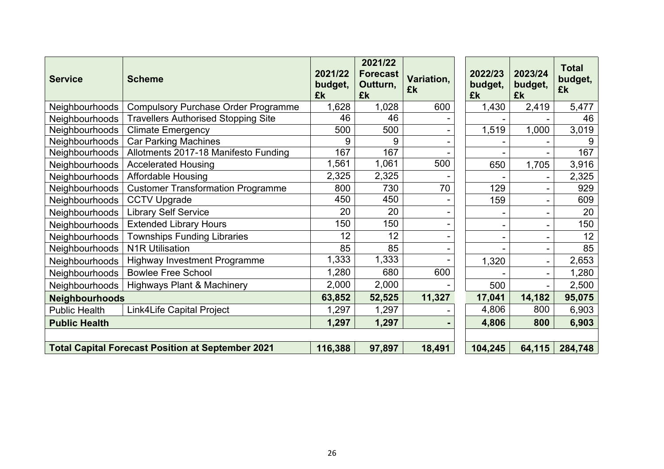| <b>Service</b>        | <b>Scheme</b>                                            | 2021/22<br>budget,<br>£k | 2021/22<br><b>Forecast</b><br>Outturn,<br>£k | Variation,<br>£k | 2022/23<br>budget,<br>£k | 2023/24<br>budget,<br>£k | <b>Total</b><br>budget,<br>£k |
|-----------------------|----------------------------------------------------------|--------------------------|----------------------------------------------|------------------|--------------------------|--------------------------|-------------------------------|
| Neighbourhoods        | <b>Compulsory Purchase Order Programme</b>               | 1,628                    | 1,028                                        | 600              | 1,430                    | 2,419                    | 5,477                         |
| Neighbourhoods        | <b>Travellers Authorised Stopping Site</b>               | 46                       | 46                                           |                  |                          |                          | 46                            |
| Neighbourhoods        | <b>Climate Emergency</b>                                 | 500                      | 500                                          |                  | 1,519                    | 1,000                    | 3,019                         |
| Neighbourhoods        | <b>Car Parking Machines</b>                              | 9                        | 9                                            |                  |                          |                          |                               |
| Neighbourhoods        | Allotments 2017-18 Manifesto Funding                     | 167                      | 167                                          |                  |                          |                          | 167                           |
| Neighbourhoods        | <b>Accelerated Housing</b>                               | 1,561                    | 1,061                                        | 500              | 650                      | 1,705                    | 3,916                         |
| Neighbourhoods        | <b>Affordable Housing</b>                                | 2,325                    | 2,325                                        |                  |                          |                          | 2,325                         |
| <b>Neighbourhoods</b> | <b>Customer Transformation Programme</b>                 | 800                      | 730                                          | 70               | 129                      |                          | 929                           |
| Neighbourhoods        | <b>CCTV Upgrade</b>                                      | 450                      | 450                                          |                  | 159                      | $\overline{\phantom{0}}$ | 609                           |
| Neighbourhoods        | <b>Library Self Service</b>                              | 20                       | 20                                           |                  |                          | $\overline{\phantom{0}}$ | 20                            |
| Neighbourhoods        | <b>Extended Library Hours</b>                            | 150                      | 150                                          |                  |                          | -                        | 150                           |
| Neighbourhoods        | <b>Townships Funding Libraries</b>                       | 12                       | 12                                           |                  |                          |                          | 12                            |
| <b>Neighbourhoods</b> | <b>N1R Utilisation</b>                                   | 85                       | 85                                           |                  |                          |                          | 85                            |
| Neighbourhoods        | <b>Highway Investment Programme</b>                      | 1,333                    | 1,333                                        |                  | 1,320                    |                          | 2,653                         |
| Neighbourhoods        | <b>Bowlee Free School</b>                                | 1,280                    | 680                                          | 600              |                          |                          | 1,280                         |
| Neighbourhoods        | <b>Highways Plant &amp; Machinery</b>                    | 2,000                    | 2,000                                        |                  | 500                      |                          | 2,500                         |
| <b>Neighbourhoods</b> |                                                          | 63,852                   | 52,525                                       | 11,327           | 17,041                   | 14,182                   | 95,075                        |
| <b>Public Health</b>  | Link4Life Capital Project                                | 1,297                    | 1,297                                        |                  | 4,806                    | 800                      | 6,903                         |
| <b>Public Health</b>  |                                                          | 1,297                    | 1,297                                        |                  | 4,806                    | 800                      | 6,903                         |
|                       | <b>Total Capital Forecast Position at September 2021</b> | 116,388                  | 97,897                                       | 18,491           | 104,245                  | 64,115                   | 284,748                       |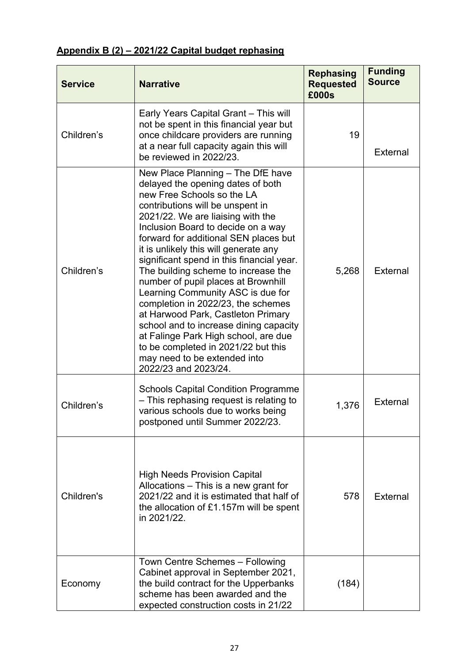# **Appendix B (2) – 2021/22 Capital budget rephasing**

| <b>Service</b> | <b>Narrative</b>                                                                                                                                                                                                                                                                                                                                                                                                                                                                                                                                                                                                                                                                                                                   | <b>Rephasing</b><br><b>Requested</b><br>£000s | <b>Funding</b><br><b>Source</b> |
|----------------|------------------------------------------------------------------------------------------------------------------------------------------------------------------------------------------------------------------------------------------------------------------------------------------------------------------------------------------------------------------------------------------------------------------------------------------------------------------------------------------------------------------------------------------------------------------------------------------------------------------------------------------------------------------------------------------------------------------------------------|-----------------------------------------------|---------------------------------|
| Children's     | Early Years Capital Grant - This will<br>not be spent in this financial year but<br>once childcare providers are running<br>at a near full capacity again this will<br>be reviewed in 2022/23.                                                                                                                                                                                                                                                                                                                                                                                                                                                                                                                                     | 19                                            | External                        |
| Children's     | New Place Planning - The DfE have<br>delayed the opening dates of both<br>new Free Schools so the LA<br>contributions will be unspent in<br>2021/22. We are liaising with the<br>Inclusion Board to decide on a way<br>forward for additional SEN places but<br>it is unlikely this will generate any<br>significant spend in this financial year.<br>The building scheme to increase the<br>number of pupil places at Brownhill<br>Learning Community ASC is due for<br>completion in 2022/23, the schemes<br>at Harwood Park, Castleton Primary<br>school and to increase dining capacity<br>at Falinge Park High school, are due<br>to be completed in 2021/22 but this<br>may need to be extended into<br>2022/23 and 2023/24. | 5,268                                         | External                        |
| Children's     | <b>Schools Capital Condition Programme</b><br>- This rephasing request is relating to<br>various schools due to works being<br>postponed until Summer 2022/23.                                                                                                                                                                                                                                                                                                                                                                                                                                                                                                                                                                     | 1,376                                         | External                        |
| Children's     | <b>High Needs Provision Capital</b><br>Allocations - This is a new grant for<br>2021/22 and it is estimated that half of<br>the allocation of £1.157m will be spent<br>in 2021/22.                                                                                                                                                                                                                                                                                                                                                                                                                                                                                                                                                 | 578                                           | External                        |
| Economy        | Town Centre Schemes - Following<br>Cabinet approval in September 2021,<br>the build contract for the Upperbanks<br>scheme has been awarded and the<br>expected construction costs in 21/22                                                                                                                                                                                                                                                                                                                                                                                                                                                                                                                                         | (184)                                         |                                 |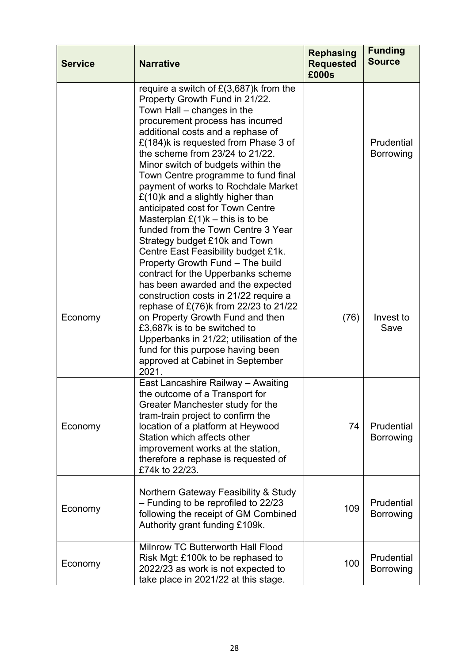| <b>Service</b> | <b>Narrative</b>                                                                                                                                                                                                                                                                                                                                                                                                                                                                                                                                                                                                  | <b>Rephasing</b><br><b>Requested</b><br>£000s | <b>Funding</b><br><b>Source</b> |
|----------------|-------------------------------------------------------------------------------------------------------------------------------------------------------------------------------------------------------------------------------------------------------------------------------------------------------------------------------------------------------------------------------------------------------------------------------------------------------------------------------------------------------------------------------------------------------------------------------------------------------------------|-----------------------------------------------|---------------------------------|
|                | require a switch of $E(3,687)$ k from the<br>Property Growth Fund in 21/22.<br>Town Hall – changes in the<br>procurement process has incurred<br>additional costs and a rephase of<br>£(184)k is requested from Phase 3 of<br>the scheme from 23/24 to 21/22.<br>Minor switch of budgets within the<br>Town Centre programme to fund final<br>payment of works to Rochdale Market<br>$£(10)$ k and a slightly higher than<br>anticipated cost for Town Centre<br>Masterplan $E(1)k -$ this is to be<br>funded from the Town Centre 3 Year<br>Strategy budget £10k and Town<br>Centre East Feasibility budget £1k. |                                               | Prudential<br><b>Borrowing</b>  |
| Economy        | Property Growth Fund - The build<br>contract for the Upperbanks scheme<br>has been awarded and the expected<br>construction costs in 21/22 require a<br>rephase of £(76)k from 22/23 to 21/22<br>on Property Growth Fund and then<br>£3,687k is to be switched to<br>Upperbanks in 21/22; utilisation of the<br>fund for this purpose having been<br>approved at Cabinet in September<br>2021.                                                                                                                                                                                                                    | (76)                                          | Invest to<br>Save               |
| Economy        | East Lancashire Railway - Awaiting<br>the outcome of a Transport for<br>Greater Manchester study for the<br>tram-train project to confirm the<br>location of a platform at Heywood<br>Station which affects other<br>improvement works at the station,<br>therefore a rephase is requested of<br>£74k to 22/23.                                                                                                                                                                                                                                                                                                   | 74                                            | Prudential<br>Borrowing         |
| Economy        | Northern Gateway Feasibility & Study<br>- Funding to be reprofiled to 22/23<br>following the receipt of GM Combined<br>Authority grant funding £109k.                                                                                                                                                                                                                                                                                                                                                                                                                                                             | 109                                           | Prudential<br><b>Borrowing</b>  |
| Economy        | Milnrow TC Butterworth Hall Flood<br>Risk Mgt: £100k to be rephased to<br>2022/23 as work is not expected to<br>take place in 2021/22 at this stage.                                                                                                                                                                                                                                                                                                                                                                                                                                                              | 100                                           | Prudential<br>Borrowing         |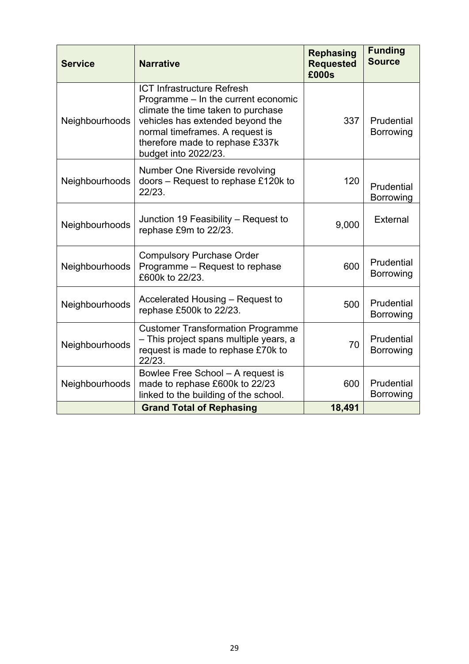| <b>Service</b> | <b>Narrative</b>                                                                                                                                                                                                                                 | <b>Rephasing</b><br><b>Requested</b><br>£000s | <b>Funding</b><br><b>Source</b> |
|----------------|--------------------------------------------------------------------------------------------------------------------------------------------------------------------------------------------------------------------------------------------------|-----------------------------------------------|---------------------------------|
| Neighbourhoods | <b>ICT Infrastructure Refresh</b><br>Programme – In the current economic<br>climate the time taken to purchase<br>vehicles has extended beyond the<br>normal timeframes. A request is<br>therefore made to rephase £337k<br>budget into 2022/23. | 337                                           | Prudential<br><b>Borrowing</b>  |
| Neighbourhoods | Number One Riverside revolving<br>doors - Request to rephase £120k to<br>22/23.                                                                                                                                                                  | 120                                           | Prudential<br><b>Borrowing</b>  |
| Neighbourhoods | Junction 19 Feasibility – Request to<br>rephase £9m to 22/23.                                                                                                                                                                                    | 9,000                                         | External                        |
| Neighbourhoods | <b>Compulsory Purchase Order</b><br>Programme - Request to rephase<br>£600k to 22/23.                                                                                                                                                            | 600                                           | Prudential<br>Borrowing         |
| Neighbourhoods | Accelerated Housing - Request to<br>rephase £500k to 22/23.                                                                                                                                                                                      | 500                                           | Prudential<br>Borrowing         |
| Neighbourhoods | <b>Customer Transformation Programme</b><br>- This project spans multiple years, a<br>request is made to rephase £70k to<br>22/23.                                                                                                               | 70                                            | Prudential<br>Borrowing         |
| Neighbourhoods | Bowlee Free School - A request is<br>made to rephase £600k to 22/23<br>linked to the building of the school.                                                                                                                                     | 600                                           | Prudential<br><b>Borrowing</b>  |
|                | <b>Grand Total of Rephasing</b>                                                                                                                                                                                                                  | 18,491                                        |                                 |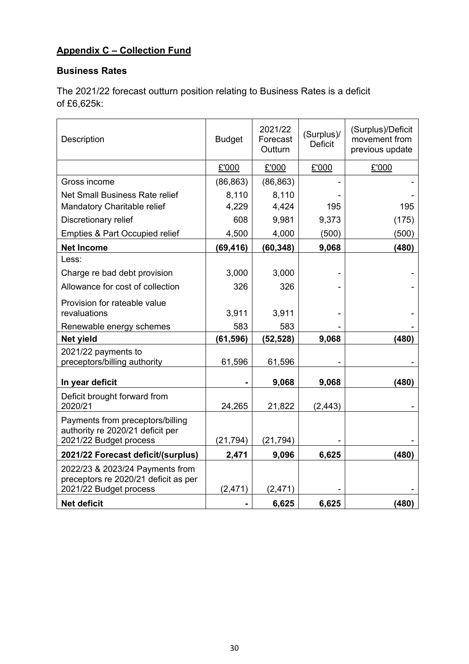# **Appendix C – Collection Fund**

# **Business Rates**

The 2021/22 forecast outturn position relating to Business Rates is a deficit of £6,625k:

| Description                                                                                       | <b>Budget</b> | 2021/22<br>Forecast<br>Outturn | (Surplus)/<br><b>Deficit</b> | (Surplus)/Deficit<br>movement from<br>previous update |
|---------------------------------------------------------------------------------------------------|---------------|--------------------------------|------------------------------|-------------------------------------------------------|
|                                                                                                   | £'000         | £'000                          | £'000                        | £'000                                                 |
| Gross income                                                                                      | (86, 863)     | (86, 863)                      |                              |                                                       |
| Net Small Business Rate relief                                                                    | 8,110         | 8,110                          |                              |                                                       |
| Mandatory Charitable relief                                                                       | 4,229         | 4,424                          | 195                          | 195                                                   |
| Discretionary relief                                                                              | 608           | 9,981                          | 9,373                        | (175)                                                 |
| <b>Empties &amp; Part Occupied relief</b>                                                         | 4,500         | 4,000                          | (500)                        | (500)                                                 |
| <b>Net Income</b>                                                                                 | (69, 416)     | (60, 348)                      | 9,068                        | (480)                                                 |
| Less:                                                                                             |               |                                |                              |                                                       |
| Charge re bad debt provision                                                                      | 3,000         | 3,000                          |                              |                                                       |
| Allowance for cost of collection                                                                  | 326           | 326                            |                              |                                                       |
| Provision for rateable value                                                                      |               |                                |                              |                                                       |
| revaluations                                                                                      | 3,911         | 3,911                          |                              |                                                       |
| Renewable energy schemes                                                                          | 583           | 583                            |                              |                                                       |
| <b>Net yield</b>                                                                                  | (61, 596)     | (52, 528)                      | 9,068                        | (480)                                                 |
| 2021/22 payments to<br>preceptors/billing authority                                               | 61,596        | 61,596                         |                              |                                                       |
| In year deficit                                                                                   |               | 9,068                          | 9,068                        | (480)                                                 |
| Deficit brought forward from<br>2020/21                                                           | 24,265        | 21,822                         | (2, 443)                     |                                                       |
| Payments from preceptors/billing<br>authority re 2020/21 deficit per                              |               |                                |                              |                                                       |
| 2021/22 Budget process                                                                            | (21, 794)     | (21, 794)                      |                              |                                                       |
| 2021/22 Forecast deficit/(surplus)                                                                | 2,471         | 9,096                          | 6,625                        | (480)                                                 |
| 2022/23 & 2023/24 Payments from<br>preceptors re 2020/21 deficit as per<br>2021/22 Budget process | (2, 471)      | (2, 471)                       |                              |                                                       |
| <b>Net deficit</b>                                                                                |               | 6,625                          | 6,625                        | (480)                                                 |
|                                                                                                   |               |                                |                              |                                                       |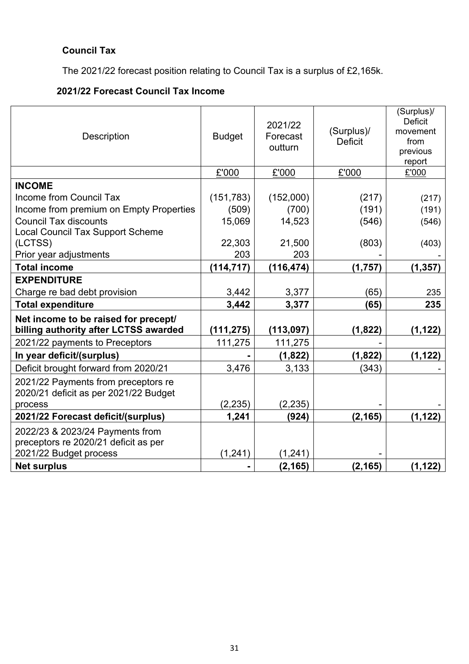# **Council Tax**

The 2021/22 forecast position relating to Council Tax is a surplus of £2,165k.

# **2021/22 Forecast Council Tax Income**

| Description                                                                   | <b>Budget</b> | 2021/22<br>Forecast<br>outturn | (Surplus)/<br><b>Deficit</b> | (Surplus)/<br><b>Deficit</b><br>movement<br>from<br>previous<br>report |
|-------------------------------------------------------------------------------|---------------|--------------------------------|------------------------------|------------------------------------------------------------------------|
|                                                                               | £'000         | £'000                          | £'000                        | £'000                                                                  |
| <b>INCOME</b>                                                                 |               |                                |                              |                                                                        |
| Income from Council Tax                                                       | (151, 783)    | (152,000)                      | (217)                        | (217)                                                                  |
| Income from premium on Empty Properties                                       | (509)         | (700)                          | (191)                        | (191)                                                                  |
| <b>Council Tax discounts</b>                                                  | 15,069        | 14,523                         | (546)                        | (546)                                                                  |
| <b>Local Council Tax Support Scheme</b>                                       |               |                                |                              |                                                                        |
| (LCTSS)                                                                       | 22,303        | 21,500                         | (803)                        | (403)                                                                  |
| Prior year adjustments                                                        | 203           | 203                            |                              |                                                                        |
| <b>Total income</b>                                                           | (114, 717)    | (116, 474)                     | (1,757)                      | (1, 357)                                                               |
| <b>EXPENDITURE</b>                                                            |               |                                |                              |                                                                        |
| Charge re bad debt provision                                                  | 3,442         | 3,377                          | (65)                         | 235                                                                    |
| <b>Total expenditure</b>                                                      | 3,442         | 3,377                          | (65)                         | 235                                                                    |
| Net income to be raised for precept/<br>billing authority after LCTSS awarded | (111, 275)    | (113, 097)                     | (1, 822)                     | (1, 122)                                                               |
| 2021/22 payments to Preceptors                                                | 111,275       | 111,275                        |                              |                                                                        |
| In year deficit/(surplus)                                                     |               | (1,822)                        | (1, 822)                     | (1, 122)                                                               |
| Deficit brought forward from 2020/21                                          | 3,476         | 3,133                          | (343)                        |                                                                        |
| 2021/22 Payments from preceptors re<br>2020/21 deficit as per 2021/22 Budget  |               |                                |                              |                                                                        |
| process                                                                       | (2, 235)      | (2, 235)                       |                              |                                                                        |
| 2021/22 Forecast deficit/(surplus)                                            | 1,241         | (924)                          | (2, 165)                     | (1, 122)                                                               |
| 2022/23 & 2023/24 Payments from<br>preceptors re 2020/21 deficit as per       |               |                                |                              |                                                                        |
| 2021/22 Budget process                                                        | (1, 241)      | (1, 241)                       |                              |                                                                        |
| <b>Net surplus</b>                                                            |               | (2, 165)                       | (2, 165)                     | (1, 122)                                                               |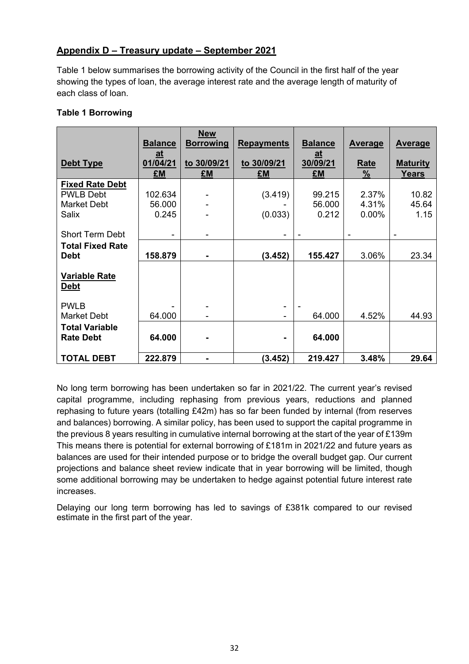## **Appendix D – Treasury update – September 2021**

Table 1 below summarises the borrowing activity of the Council in the first half of the year showing the types of loan, the average interest rate and the average length of maturity of each class of loan.

#### **Table 1 Borrowing**

|                                                                           | <b>Balance</b>                             | <b>New</b><br><b>Borrowing</b> | <b>Repayments</b>  | <b>Balance</b>                               | <b>Average</b>          | <b>Average</b>                  |
|---------------------------------------------------------------------------|--------------------------------------------|--------------------------------|--------------------|----------------------------------------------|-------------------------|---------------------------------|
| Debt Type                                                                 | $\underline{\mathbf{a}}$<br>01/04/21<br>£M | to 30/09/21<br>£M              | to 30/09/21<br>£M  | $\underline{\mathbf{a}}$ t<br>30/09/21<br>£M | Rate<br>%               | <b>Maturity</b><br><b>Years</b> |
| <b>Fixed Rate Debt</b><br><b>PWLB Debt</b><br><b>Market Debt</b><br>Salix | 102.634<br>56.000<br>0.245                 |                                | (3.419)<br>(0.033) | 99.215<br>56.000<br>0.212                    | 2.37%<br>4.31%<br>0.00% | 10.82<br>45.64<br>1.15          |
| <b>Short Term Debt</b><br><b>Total Fixed Rate</b><br><b>Debt</b>          | 158.879                                    |                                | (3.452)            | 155.427                                      | 3.06%                   | 23.34                           |
| <b>Variable Rate</b><br><b>Debt</b>                                       |                                            |                                |                    |                                              |                         |                                 |
| <b>PWLB</b><br><b>Market Debt</b><br><b>Total Variable</b>                | 64.000                                     |                                | ۰                  | 64.000                                       | 4.52%                   | 44.93                           |
| <b>Rate Debt</b>                                                          | 64.000                                     |                                |                    | 64.000                                       |                         |                                 |
| <b>TOTAL DEBT</b>                                                         | 222.879                                    |                                | (3.452)            | 219.427                                      | 3.48%                   | 29.64                           |

No long term borrowing has been undertaken so far in 2021/22. The current year's revised capital programme, including rephasing from previous years, reductions and planned rephasing to future years (totalling £42m) has so far been funded by internal (from reserves and balances) borrowing. A similar policy, has been used to support the capital programme in the previous 8 years resulting in cumulative internal borrowing at the start of the year of £139m This means there is potential for external borrowing of £181m in 2021/22 and future years as balances are used for their intended purpose or to bridge the overall budget gap. Our current projections and balance sheet review indicate that in year borrowing will be limited, though some additional borrowing may be undertaken to hedge against potential future interest rate increases.

Delaying our long term borrowing has led to savings of £381k compared to our revised estimate in the first part of the year.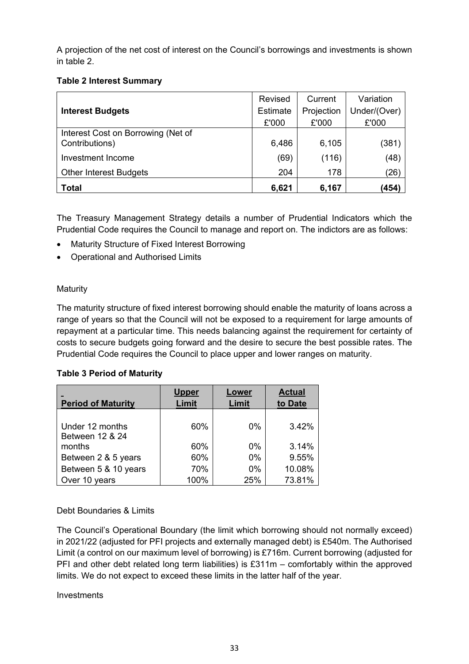A projection of the net cost of interest on the Council's borrowings and investments is shown in table 2.

#### **Table 2 Interest Summary**

|                                                      | Revised  | Current    | Variation    |
|------------------------------------------------------|----------|------------|--------------|
| <b>Interest Budgets</b>                              | Estimate | Projection | Under/(Over) |
|                                                      | £'000    | £'000      | £'000        |
| Interest Cost on Borrowing (Net of<br>Contributions) | 6,486    | 6,105      | (381)        |
| Investment Income                                    | (69)     | (116)      | (48)         |
| <b>Other Interest Budgets</b>                        | 204      | 178        | (26)         |
| <b>Total</b>                                         | 6,621    | 6,167      | (454)        |

The Treasury Management Strategy details a number of Prudential Indicators which the Prudential Code requires the Council to manage and report on. The indictors are as follows:

- Maturity Structure of Fixed Interest Borrowing
- Operational and Authorised Limits

#### Maturity

The maturity structure of fixed interest borrowing should enable the maturity of loans across a range of years so that the Council will not be exposed to a requirement for large amounts of repayment at a particular time. This needs balancing against the requirement for certainty of costs to secure budgets going forward and the desire to secure the best possible rates. The Prudential Code requires the Council to place upper and lower ranges on maturity.

#### **Table 3 Period of Maturity**

| <b>Period of Maturity</b>          | <b>Upper</b><br>Limit | Lower<br><b>Limit</b> | <b>Actual</b><br>to Date |
|------------------------------------|-----------------------|-----------------------|--------------------------|
| Under 12 months<br>Between 12 & 24 | 60%                   | $0\%$                 | 3.42%                    |
| months                             | 60%                   | $0\%$                 | 3.14%                    |
| Between 2 & 5 years                | 60%                   | $0\%$                 | 9.55%                    |
| Between 5 & 10 years               | 70%                   | $0\%$                 | 10.08%                   |
| Over 10 years                      | 100%                  | 25%                   | 73.81%                   |

#### Debt Boundaries & Limits

The Council's Operational Boundary (the limit which borrowing should not normally exceed) in 2021/22 (adjusted for PFI projects and externally managed debt) is £540m. The Authorised Limit (a control on our maximum level of borrowing) is £716m. Current borrowing (adjusted for PFI and other debt related long term liabilities) is £311m – comfortably within the approved limits. We do not expect to exceed these limits in the latter half of the year.

Investments